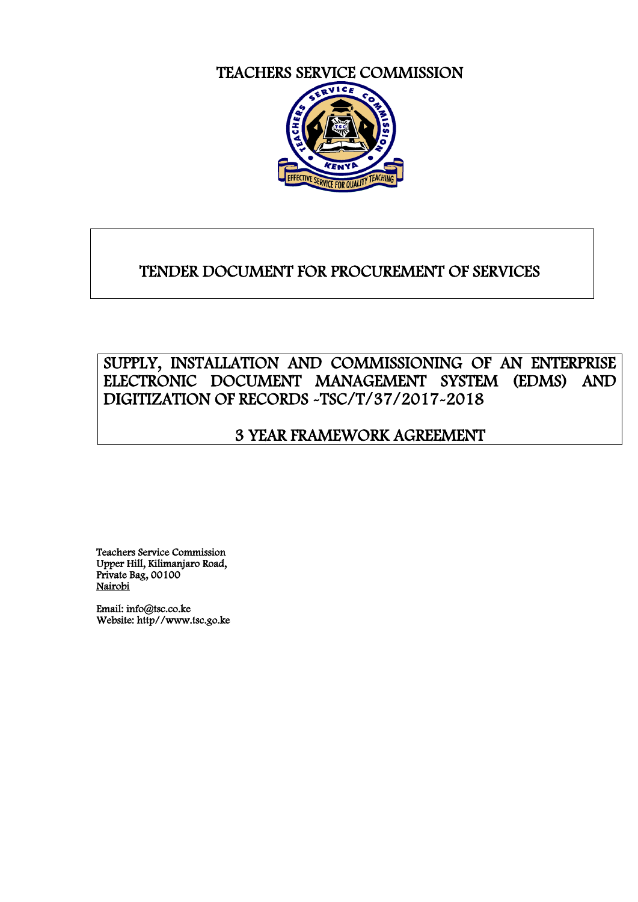TEACHERS SERVICE COMMISSION



# TENDER DOCUMENT FOR PROCUREMENT OF SERVICES

# SUPPLY, INSTALLATION AND COMMISSIONING OF AN ENTERPRISE ELECTRONIC DOCUMENT MANAGEMENT SYSTEM (EDMS) AND DIGITIZATION OF RECORDS -TSC/T/37/2017-2018

# 3 YEAR FRAMEWORK AGREEMENT

Teachers Service Commission Upper Hill, Kilimanjaro Road, Private Bag, 00100 Nairobi

Email: info@tsc.co.ke Website: http//www.tsc.go.ke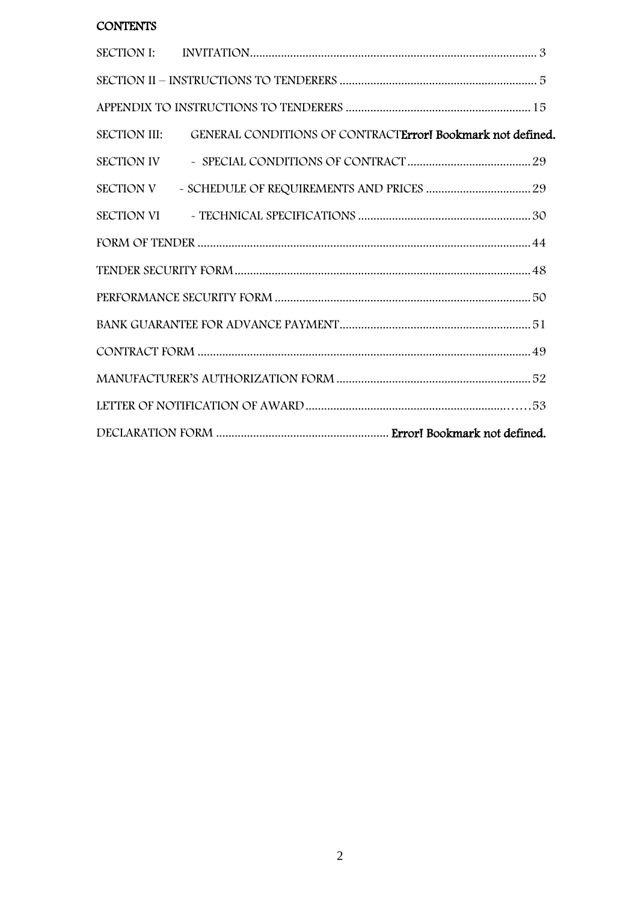## **CONTENTS**

| SECTION III: GENERAL CONDITIONS OF CONTRACTErrorI Bookmark not defined. |  |
|-------------------------------------------------------------------------|--|
|                                                                         |  |
| SECTION V - SCHEDULE OF REQUIREMENTS AND PRICES  29                     |  |
|                                                                         |  |
|                                                                         |  |
|                                                                         |  |
|                                                                         |  |
|                                                                         |  |
|                                                                         |  |
|                                                                         |  |
|                                                                         |  |
|                                                                         |  |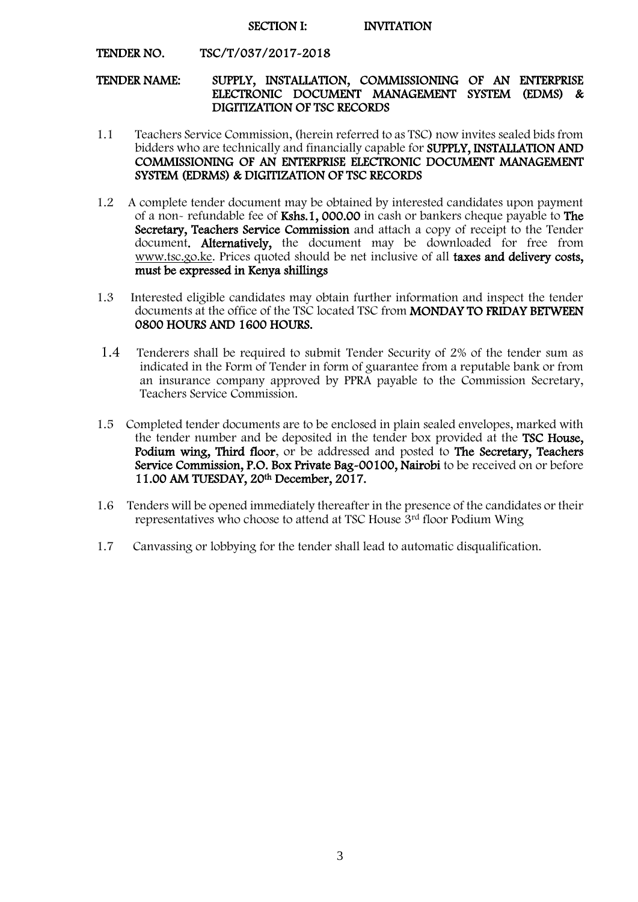#### SECTION I: INVITATION

#### <span id="page-2-0"></span>TENDER NO. TSC/T/037/2017-2018

#### TENDER NAME: SUPPLY, INSTALLATION, COMMISSIONING OF AN ENTERPRISE ELECTRONIC DOCUMENT MANAGEMENT SYSTEM (EDMS) & DIGITIZATION OF TSC RECORDS

- 1.1 Teachers Service Commission, (herein referred to as TSC) now invites sealed bids from bidders who are technically and financially capable for SUPPLY, INSTALLATION AND COMMISSIONING OF AN ENTERPRISE ELECTRONIC DOCUMENT MANAGEMENT SYSTEM (EDRMS) & DIGITIZATION OF TSC RECORDS
- 1.2 A complete tender document may be obtained by interested candidates upon payment of a non- refundable fee of Kshs.1, 000.00 in cash or bankers cheque payable to The Secretary, Teachers Service Commission and attach a copy of receipt to the Tender document. Alternatively, the document may be downloaded for free from [www.tsc.go.ke.](http://www.tsc.go.ke/) Prices quoted should be net inclusive of all taxes and delivery costs, must be expressed in Kenya shillings
- 1.3 Interested eligible candidates may obtain further information and inspect the tender documents at the office of the TSC located TSC from MONDAY TO FRIDAY BETWEEN 0800 HOURS AND 1600 HOURS.
- 1.4 Tenderers shall be required to submit Tender Security of 2% of the tender sum as indicated in the Form of Tender in form of guarantee from a reputable bank or from an insurance company approved by PPRA payable to the Commission Secretary, Teachers Service Commission.
- 1.5 Completed tender documents are to be enclosed in plain sealed envelopes, marked with the tender number and be deposited in the tender box provided at the TSC House, Podium wing, Third floor, or be addressed and posted to The Secretary, Teachers Service Commission, P.O. Box Private Bag-00100, Nairobi to be received on or before 11.00 AM TUESDAY, 20th December, 2017.
- 1.6 Tenders will be opened immediately thereafter in the presence of the candidates or their representatives who choose to attend at TSC House 3rd floor Podium Wing
- 1.7 Canvassing or lobbying for the tender shall lead to automatic disqualification.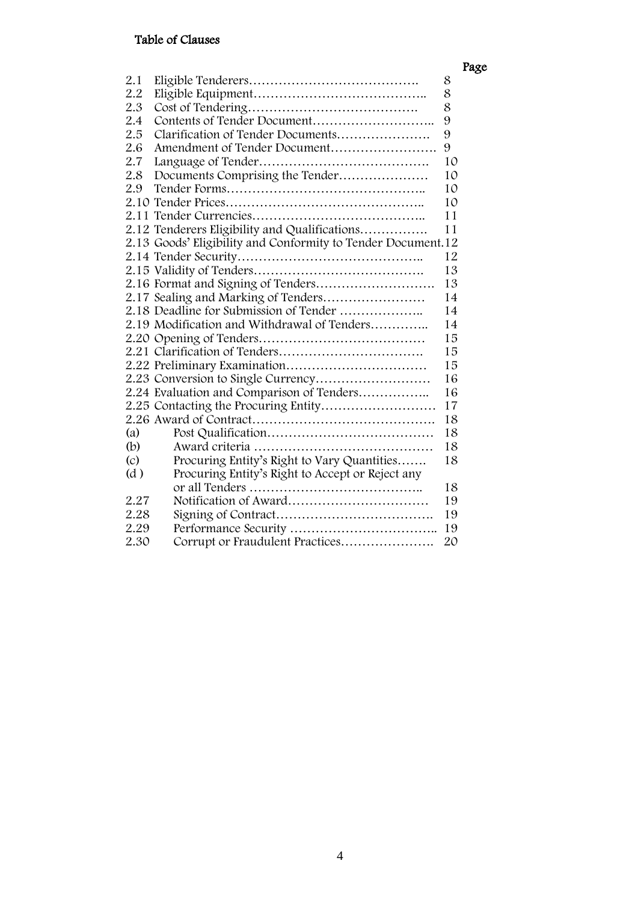## Table of Clauses

|                   |                                                              |    | Page |
|-------------------|--------------------------------------------------------------|----|------|
| 2.1               |                                                              | 8  |      |
| 2.2               |                                                              | 8  |      |
| 2.3               |                                                              | 8  |      |
| 2.4               |                                                              | 9  |      |
| 2.5               | Clarification of Tender Documents                            | 9  |      |
| 2.6               | Amendment of Tender Document                                 | 9  |      |
| 2.7               |                                                              | 10 |      |
| 2.8               | Documents Comprising the Tender                              | 10 |      |
| 2.9               |                                                              | 10 |      |
|                   |                                                              | 10 |      |
|                   |                                                              | 11 |      |
|                   | 2.12 Tenderers Eligibility and Qualifications                | 11 |      |
|                   | 2.13 Goods' Eligibility and Conformity to Tender Document.12 |    |      |
|                   |                                                              | 12 |      |
|                   |                                                              | 13 |      |
|                   |                                                              | 13 |      |
|                   | 2.17 Sealing and Marking of Tenders                          | 14 |      |
|                   | 2.18 Deadline for Submission of Tender                       | 14 |      |
|                   | 2.19 Modification and Withdrawal of Tenders                  | 14 |      |
|                   |                                                              | 15 |      |
|                   |                                                              | 15 |      |
|                   |                                                              | 15 |      |
|                   |                                                              | 16 |      |
|                   | 2.24 Evaluation and Comparison of Tenders                    | 16 |      |
|                   |                                                              | 17 |      |
|                   |                                                              | 18 |      |
| (a)               |                                                              | 18 |      |
| (b)               |                                                              | 18 |      |
| $\left( c\right)$ | Procuring Entity's Right to Vary Quantities                  | 18 |      |
| (d)               | Procuring Entity's Right to Accept or Reject any             |    |      |
|                   |                                                              | 18 |      |
| 2.27              |                                                              | 19 |      |
| 2.28              |                                                              | 19 |      |
| 2.29              |                                                              | 19 |      |
| 2.30              | Corrupt or Fraudulent Practices                              | 20 |      |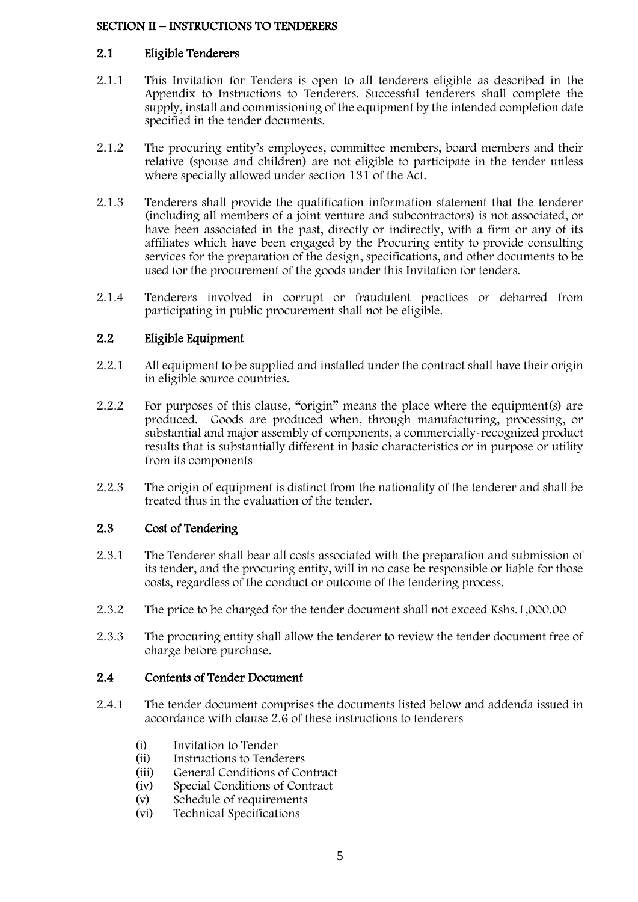#### <span id="page-4-0"></span>SECTION II – INSTRUCTIONS TO TENDERERS

#### 2.1 Eligible Tenderers

- 2.1.1 This Invitation for Tenders is open to all tenderers eligible as described in the Appendix to Instructions to Tenderers. Successful tenderers shall complete the supply, install and commissioning of the equipment by the intended completion date specified in the tender documents.
- 2.1.2 The procuring entity's employees, committee members, board members and their relative (spouse and children) are not eligible to participate in the tender unless where specially allowed under section 131 of the Act.
- 2.1.3 Tenderers shall provide the qualification information statement that the tenderer (including all members of a joint venture and subcontractors) is not associated, or have been associated in the past, directly or indirectly, with a firm or any of its affiliates which have been engaged by the Procuring entity to provide consulting services for the preparation of the design, specifications, and other documents to be used for the procurement of the goods under this Invitation for tenders.
- 2.1.4 Tenderers involved in corrupt or fraudulent practices or debarred from participating in public procurement shall not be eligible.

## 2.2 Eligible Equipment

- 2.2.1 All equipment to be supplied and installed under the contract shall have their origin in eligible source countries.
- 2.2.2 For purposes of this clause, "origin" means the place where the equipment(s) are produced. Goods are produced when, through manufacturing, processing, or substantial and major assembly of components, a commercially-recognized product results that is substantially different in basic characteristics or in purpose or utility from its components
- 2.2.3 The origin of equipment is distinct from the nationality of the tenderer and shall be treated thus in the evaluation of the tender.

#### 2.3 Cost of Tendering

- 2.3.1 The Tenderer shall bear all costs associated with the preparation and submission of its tender, and the procuring entity, will in no case be responsible or liable for those costs, regardless of the conduct or outcome of the tendering process.
- 2.3.2 The price to be charged for the tender document shall not exceed Kshs.1,000.00
- 2.3.3 The procuring entity shall allow the tenderer to review the tender document free of charge before purchase.

#### 2.4 Contents of Tender Document

- 2.4.1 The tender document comprises the documents listed below and addenda issued in accordance with clause 2.6 of these instructions to tenderers
	- (i) Invitation to Tender
	- (ii) Instructions to Tenderers
	- (iii) General Conditions of Contract
	- (iv) Special Conditions of Contract
	- (v) Schedule of requirements
	- (vi) Technical Specifications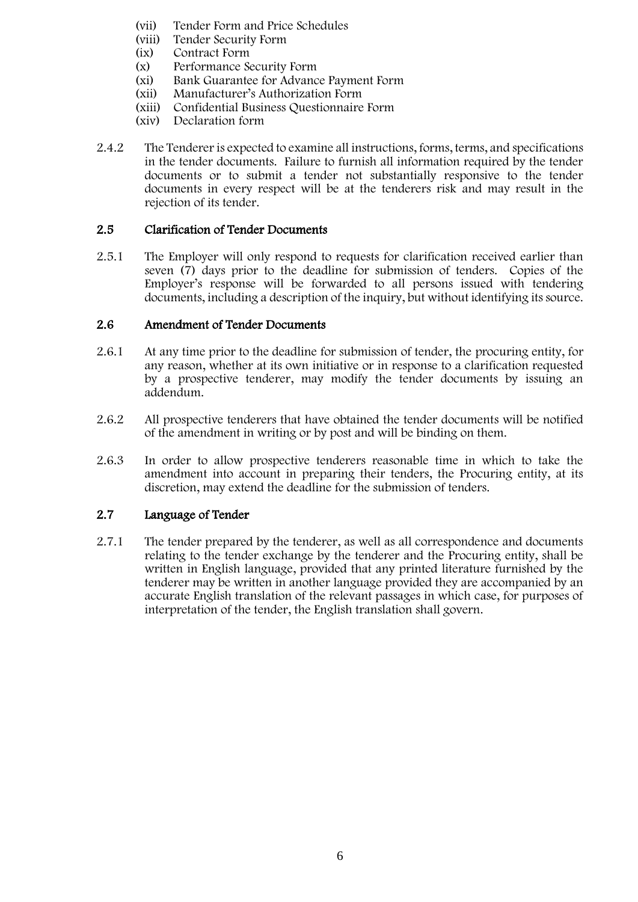- (vii) Tender Form and Price Schedules
- (viii) Tender Security Form<br>(ix) Contract Form
- (ix) Contract Form<br>(x) Performance Se
- Performance Security Form
- (xi) Bank Guarantee for Advance Payment Form
- (xii) Manufacturer's Authorization Form
- (xiii) Confidential Business Questionnaire Form
- (xiv) Declaration form
- 2.4.2 The Tenderer is expected to examine all instructions, forms, terms, and specifications in the tender documents. Failure to furnish all information required by the tender documents or to submit a tender not substantially responsive to the tender documents in every respect will be at the tenderers risk and may result in the rejection of its tender.

#### 2.5 Clarification of Tender Documents

2.5.1 The Employer will only respond to requests for clarification received earlier than seven (7) days prior to the deadline for submission of tenders. Copies of the Employer's response will be forwarded to all persons issued with tendering documents, including a description of the inquiry, but without identifying its source.

#### 2.6 Amendment of Tender Documents

- 2.6.1 At any time prior to the deadline for submission of tender, the procuring entity, for any reason, whether at its own initiative or in response to a clarification requested by a prospective tenderer, may modify the tender documents by issuing an addendum.
- 2.6.2 All prospective tenderers that have obtained the tender documents will be notified of the amendment in writing or by post and will be binding on them.
- 2.6.3 In order to allow prospective tenderers reasonable time in which to take the amendment into account in preparing their tenders, the Procuring entity, at its discretion, may extend the deadline for the submission of tenders.

### 2.7 Language of Tender

2.7.1 The tender prepared by the tenderer, as well as all correspondence and documents relating to the tender exchange by the tenderer and the Procuring entity, shall be written in English language, provided that any printed literature furnished by the tenderer may be written in another language provided they are accompanied by an accurate English translation of the relevant passages in which case, for purposes of interpretation of the tender, the English translation shall govern.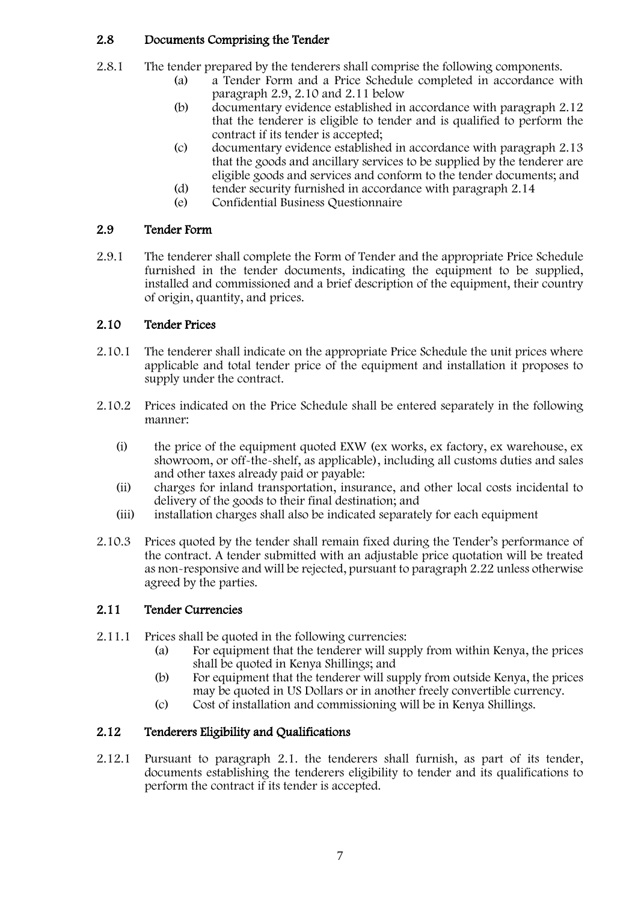### 2.8 Documents Comprising the Tender

- 2.8.1 The tender prepared by the tenderers shall comprise the following components.
	- (a) a Tender Form and a Price Schedule completed in accordance with paragraph 2.9, 2.10 and 2.11 below
	- (b) documentary evidence established in accordance with paragraph 2.12 that the tenderer is eligible to tender and is qualified to perform the contract if its tender is accepted;
	- (c) documentary evidence established in accordance with paragraph 2.13 that the goods and ancillary services to be supplied by the tenderer are eligible goods and services and conform to the tender documents; and
	- (d) tender security furnished in accordance with paragraph 2.14
	- (e) Confidential Business Questionnaire

### 2.9 Tender Form

2.9.1 The tenderer shall complete the Form of Tender and the appropriate Price Schedule furnished in the tender documents, indicating the equipment to be supplied, installed and commissioned and a brief description of the equipment, their country of origin, quantity, and prices.

### 2.10 Tender Prices

- 2.10.1 The tenderer shall indicate on the appropriate Price Schedule the unit prices where applicable and total tender price of the equipment and installation it proposes to supply under the contract.
- 2.10.2 Prices indicated on the Price Schedule shall be entered separately in the following manner:
	- (i) the price of the equipment quoted EXW (ex works, ex factory, ex warehouse, ex showroom, or off-the-shelf, as applicable), including all customs duties and sales and other taxes already paid or payable:
	- (ii) charges for inland transportation, insurance, and other local costs incidental to delivery of the goods to their final destination; and
	- (iii) installation charges shall also be indicated separately for each equipment
- 2.10.3 Prices quoted by the tender shall remain fixed during the Tender's performance of the contract. A tender submitted with an adjustable price quotation will be treated as non-responsive and will be rejected, pursuant to paragraph 2.22 unless otherwise agreed by the parties.

### 2.11 Tender Currencies

- 2.11.1 Prices shall be quoted in the following currencies:
	- (a) For equipment that the tenderer will supply from within Kenya, the prices shall be quoted in Kenya Shillings; and
	- (b) For equipment that the tenderer will supply from outside Kenya, the prices may be quoted in US Dollars or in another freely convertible currency.
	- (c) Cost of installation and commissioning will be in Kenya Shillings.

### 2.12 Tenderers Eligibility and Qualifications

2.12.1 Pursuant to paragraph 2.1. the tenderers shall furnish, as part of its tender, documents establishing the tenderers eligibility to tender and its qualifications to perform the contract if its tender is accepted.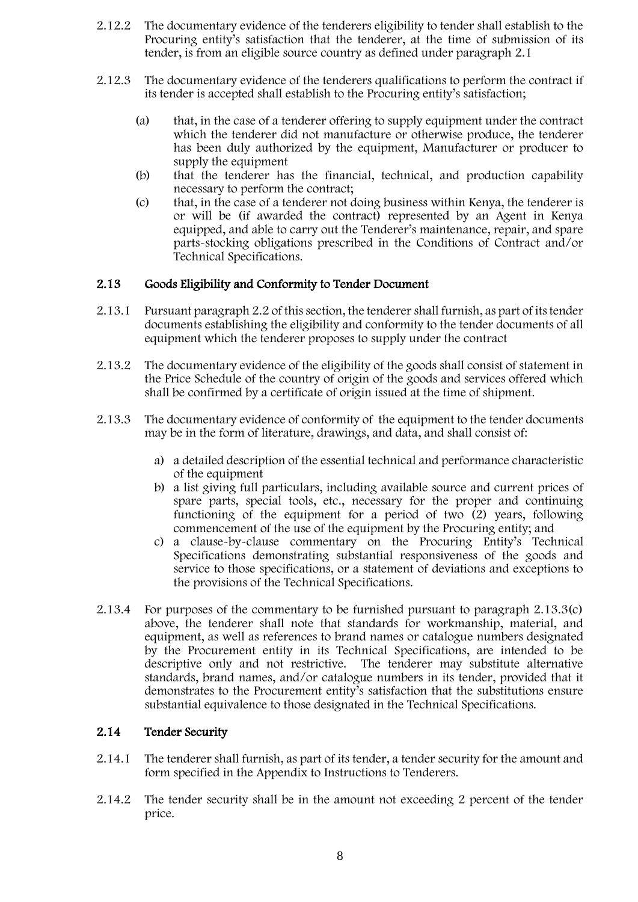- 2.12.2 The documentary evidence of the tenderers eligibility to tender shall establish to the Procuring entity's satisfaction that the tenderer, at the time of submission of its tender, is from an eligible source country as defined under paragraph 2.1
- 2.12.3 The documentary evidence of the tenderers qualifications to perform the contract if its tender is accepted shall establish to the Procuring entity's satisfaction;
	- (a) that, in the case of a tenderer offering to supply equipment under the contract which the tenderer did not manufacture or otherwise produce, the tenderer has been duly authorized by the equipment, Manufacturer or producer to supply the equipment
	- (b) that the tenderer has the financial, technical, and production capability necessary to perform the contract;
	- (c) that, in the case of a tenderer not doing business within Kenya, the tenderer is or will be (if awarded the contract) represented by an Agent in Kenya equipped, and able to carry out the Tenderer's maintenance, repair, and spare parts-stocking obligations prescribed in the Conditions of Contract and/or Technical Specifications.

#### 2.13 Goods Eligibility and Conformity to Tender Document

- 2.13.1 Pursuant paragraph 2.2 of this section, the tenderer shall furnish, as part of its tender documents establishing the eligibility and conformity to the tender documents of all equipment which the tenderer proposes to supply under the contract
- 2.13.2 The documentary evidence of the eligibility of the goods shall consist of statement in the Price Schedule of the country of origin of the goods and services offered which shall be confirmed by a certificate of origin issued at the time of shipment.
- 2.13.3 The documentary evidence of conformity of the equipment to the tender documents may be in the form of literature, drawings, and data, and shall consist of:
	- a) a detailed description of the essential technical and performance characteristic of the equipment
	- b) a list giving full particulars, including available source and current prices of spare parts, special tools, etc., necessary for the proper and continuing functioning of the equipment for a period of two (2) years, following commencement of the use of the equipment by the Procuring entity; and
	- c) a clause-by-clause commentary on the Procuring Entity's Technical Specifications demonstrating substantial responsiveness of the goods and service to those specifications, or a statement of deviations and exceptions to the provisions of the Technical Specifications.
- 2.13.4 For purposes of the commentary to be furnished pursuant to paragraph 2.13.3(c) above, the tenderer shall note that standards for workmanship, material, and equipment, as well as references to brand names or catalogue numbers designated by the Procurement entity in its Technical Specifications, are intended to be descriptive only and not restrictive. The tenderer may substitute alternative standards, brand names, and/or catalogue numbers in its tender, provided that it demonstrates to the Procurement entity's satisfaction that the substitutions ensure substantial equivalence to those designated in the Technical Specifications.

#### 2.14 Tender Security

- 2.14.1 The tenderer shall furnish, as part of its tender, a tender security for the amount and form specified in the Appendix to Instructions to Tenderers.
- 2.14.2 The tender security shall be in the amount not exceeding 2 percent of the tender price.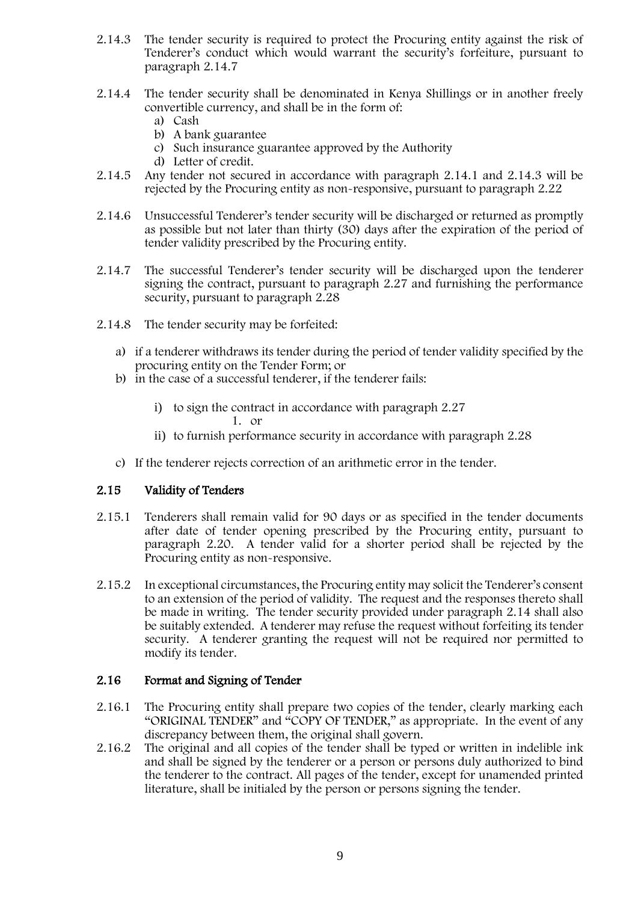- 2.14.3 The tender security is required to protect the Procuring entity against the risk of Tenderer's conduct which would warrant the security's forfeiture, pursuant to paragraph 2.14.7
- 2.14.4 The tender security shall be denominated in Kenya Shillings or in another freely convertible currency, and shall be in the form of:
	- a) Cash
	- b) A bank guarantee
	- c) Such insurance guarantee approved by the Authority
	- d) Letter of credit.
- 2.14.5 Any tender not secured in accordance with paragraph 2.14.1 and 2.14.3 will be rejected by the Procuring entity as non-responsive, pursuant to paragraph 2.22
- 2.14.6 Unsuccessful Tenderer's tender security will be discharged or returned as promptly as possible but not later than thirty (30) days after the expiration of the period of tender validity prescribed by the Procuring entity.
- 2.14.7 The successful Tenderer's tender security will be discharged upon the tenderer signing the contract, pursuant to paragraph 2.27 and furnishing the performance security, pursuant to paragraph 2.28
- 2.14.8 The tender security may be forfeited:
	- a) if a tenderer withdraws its tender during the period of tender validity specified by the procuring entity on the Tender Form; or
	- b) in the case of a successful tenderer, if the tenderer fails:
		- i) to sign the contract in accordance with paragraph 2.27 1. or
		- ii) to furnish performance security in accordance with paragraph 2.28
	- c) If the tenderer rejects correction of an arithmetic error in the tender.

#### 2.15 Validity of Tenders

- 2.15.1 Tenderers shall remain valid for 90 days or as specified in the tender documents after date of tender opening prescribed by the Procuring entity, pursuant to paragraph 2.20. A tender valid for a shorter period shall be rejected by the Procuring entity as non-responsive.
- 2.15.2 In exceptional circumstances, the Procuring entity may solicit the Tenderer's consent to an extension of the period of validity. The request and the responses thereto shall be made in writing. The tender security provided under paragraph 2.14 shall also be suitably extended. A tenderer may refuse the request without forfeiting its tender security. A tenderer granting the request will not be required nor permitted to modify its tender.

#### 2.16 Format and Signing of Tender

- 2.16.1 The Procuring entity shall prepare two copies of the tender, clearly marking each "ORIGINAL TENDER" and "COPY OF TENDER," as appropriate. In the event of any discrepancy between them, the original shall govern.
- 2.16.2 The original and all copies of the tender shall be typed or written in indelible ink and shall be signed by the tenderer or a person or persons duly authorized to bind the tenderer to the contract. All pages of the tender, except for unamended printed literature, shall be initialed by the person or persons signing the tender.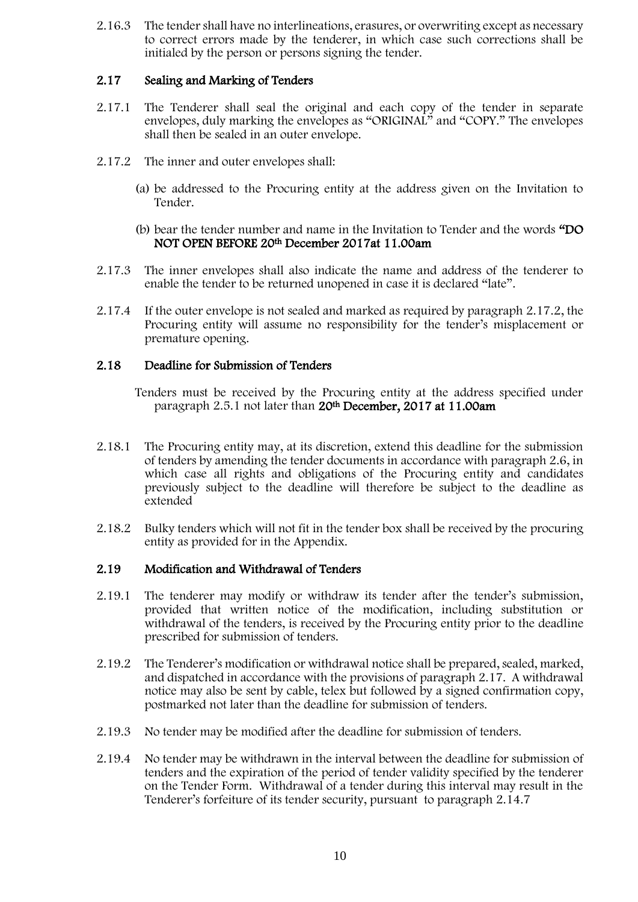2.16.3 The tender shall have no interlineations, erasures, or overwriting except as necessary to correct errors made by the tenderer, in which case such corrections shall be initialed by the person or persons signing the tender.

#### 2.17 Sealing and Marking of Tenders

- 2.17.1 The Tenderer shall seal the original and each copy of the tender in separate envelopes, duly marking the envelopes as "ORIGINAL" and "COPY." The envelopes shall then be sealed in an outer envelope.
- 2.17.2 The inner and outer envelopes shall:
	- (a) be addressed to the Procuring entity at the address given on the Invitation to Tender.
	- (b) bear the tender number and name in the Invitation to Tender and the words "DO NOT OPEN BEFORE 20th December 2017at 11.00am
- 2.17.3 The inner envelopes shall also indicate the name and address of the tenderer to enable the tender to be returned unopened in case it is declared "late".
- 2.17.4 If the outer envelope is not sealed and marked as required by paragraph 2.17.2, the Procuring entity will assume no responsibility for the tender's misplacement or premature opening.

#### 2.18 Deadline for Submission of Tenders

Tenders must be received by the Procuring entity at the address specified under paragraph 2.5.1 not later than 20th December, 2017 at 11.00am

- 2.18.1 The Procuring entity may, at its discretion, extend this deadline for the submission of tenders by amending the tender documents in accordance with paragraph 2.6, in which case all rights and obligations of the Procuring entity and candidates previously subject to the deadline will therefore be subject to the deadline as extended
- 2.18.2 Bulky tenders which will not fit in the tender box shall be received by the procuring entity as provided for in the Appendix.

#### 2.19 Modification and Withdrawal of Tenders

- 2.19.1 The tenderer may modify or withdraw its tender after the tender's submission, provided that written notice of the modification, including substitution or withdrawal of the tenders, is received by the Procuring entity prior to the deadline prescribed for submission of tenders.
- 2.19.2 The Tenderer's modification or withdrawal notice shall be prepared, sealed, marked, and dispatched in accordance with the provisions of paragraph 2.17. A withdrawal notice may also be sent by cable, telex but followed by a signed confirmation copy, postmarked not later than the deadline for submission of tenders.
- 2.19.3 No tender may be modified after the deadline for submission of tenders.
- 2.19.4 No tender may be withdrawn in the interval between the deadline for submission of tenders and the expiration of the period of tender validity specified by the tenderer on the Tender Form. Withdrawal of a tender during this interval may result in the Tenderer's forfeiture of its tender security, pursuant to paragraph 2.14.7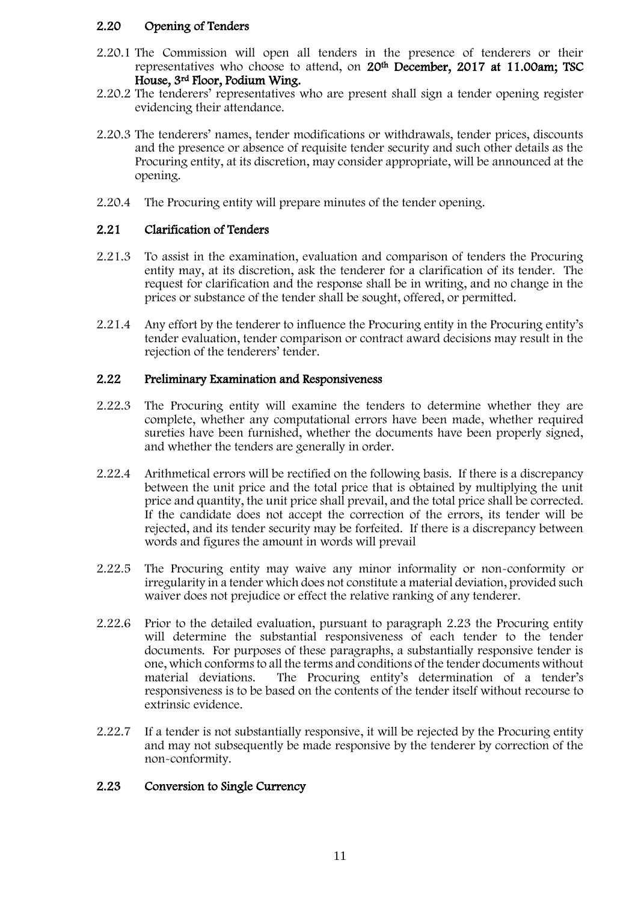#### 2.20 Opening of Tenders

- 2.20.1 The Commission will open all tenders in the presence of tenderers or their representatives who choose to attend, on 20th December, 2017 at 11.00am; TSC House, 3rd Floor, Podium Wing.
- 2.20.2 The tenderers' representatives who are present shall sign a tender opening register evidencing their attendance.
- 2.20.3 The tenderers' names, tender modifications or withdrawals, tender prices, discounts and the presence or absence of requisite tender security and such other details as the Procuring entity, at its discretion, may consider appropriate, will be announced at the opening.
- 2.20.4 The Procuring entity will prepare minutes of the tender opening.

#### 2.21 Clarification of Tenders

- 2.21.3 To assist in the examination, evaluation and comparison of tenders the Procuring entity may, at its discretion, ask the tenderer for a clarification of its tender. The request for clarification and the response shall be in writing, and no change in the prices or substance of the tender shall be sought, offered, or permitted.
- 2.21.4 Any effort by the tenderer to influence the Procuring entity in the Procuring entity's tender evaluation, tender comparison or contract award decisions may result in the rejection of the tenderers' tender.

#### 2.22 Preliminary Examination and Responsiveness

- 2.22.3 The Procuring entity will examine the tenders to determine whether they are complete, whether any computational errors have been made, whether required sureties have been furnished, whether the documents have been properly signed, and whether the tenders are generally in order.
- 2.22.4 Arithmetical errors will be rectified on the following basis. If there is a discrepancy between the unit price and the total price that is obtained by multiplying the unit price and quantity, the unit price shall prevail, and the total price shall be corrected. If the candidate does not accept the correction of the errors, its tender will be rejected, and its tender security may be forfeited. If there is a discrepancy between words and figures the amount in words will prevail
- 2.22.5 The Procuring entity may waive any minor informality or non-conformity or irregularity in a tender which does not constitute a material deviation, provided such waiver does not prejudice or effect the relative ranking of any tenderer.
- 2.22.6 Prior to the detailed evaluation, pursuant to paragraph 2.23 the Procuring entity will determine the substantial responsiveness of each tender to the tender documents. For purposes of these paragraphs, a substantially responsive tender is one, which conforms to all the terms and conditions of the tender documents without material deviations. The Procuring entity's determination of a tender's responsiveness is to be based on the contents of the tender itself without recourse to extrinsic evidence.
- 2.22.7 If a tender is not substantially responsive, it will be rejected by the Procuring entity and may not subsequently be made responsive by the tenderer by correction of the non-conformity.

#### 2.23 Conversion to Single Currency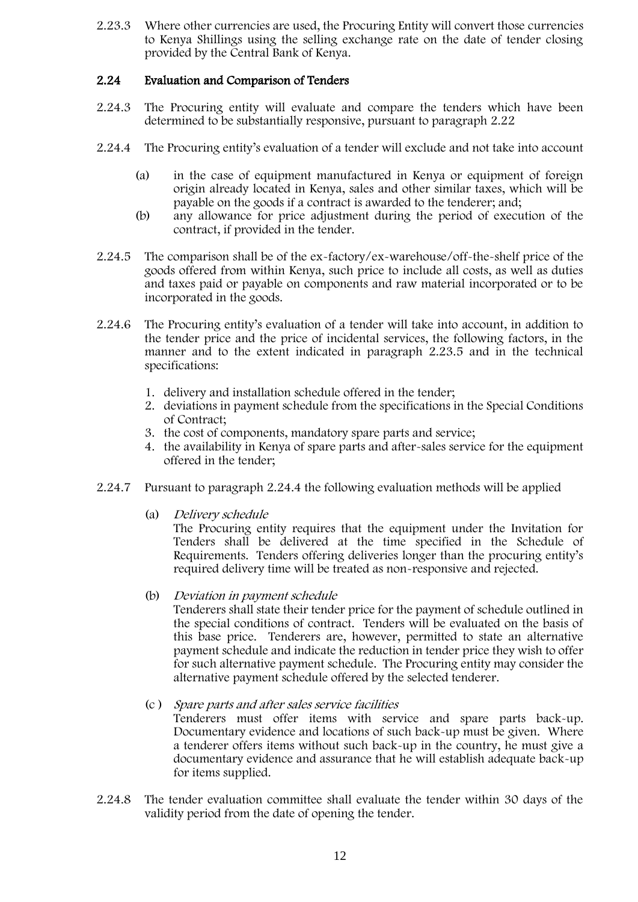2.23.3 Where other currencies are used, the Procuring Entity will convert those currencies to Kenya Shillings using the selling exchange rate on the date of tender closing provided by the Central Bank of Kenya.

#### 2.24 Evaluation and Comparison of Tenders

- 2.24.3 The Procuring entity will evaluate and compare the tenders which have been determined to be substantially responsive, pursuant to paragraph 2.22
- 2.24.4 The Procuring entity's evaluation of a tender will exclude and not take into account
	- (a) in the case of equipment manufactured in Kenya or equipment of foreign origin already located in Kenya, sales and other similar taxes, which will be payable on the goods if a contract is awarded to the tenderer; and;
	- (b) any allowance for price adjustment during the period of execution of the contract, if provided in the tender.
- 2.24.5 The comparison shall be of the ex-factory/ex-warehouse/off-the-shelf price of the goods offered from within Kenya, such price to include all costs, as well as duties and taxes paid or payable on components and raw material incorporated or to be incorporated in the goods.
- 2.24.6 The Procuring entity's evaluation of a tender will take into account, in addition to the tender price and the price of incidental services, the following factors, in the manner and to the extent indicated in paragraph 2.23.5 and in the technical specifications:
	- 1. delivery and installation schedule offered in the tender;
	- 2. deviations in payment schedule from the specifications in the Special Conditions of Contract;
	- 3. the cost of components, mandatory spare parts and service;
	- 4. the availability in Kenya of spare parts and after-sales service for the equipment offered in the tender;
- 2.24.7 Pursuant to paragraph 2.24.4 the following evaluation methods will be applied
	- (a) Delivery schedule

The Procuring entity requires that the equipment under the Invitation for Tenders shall be delivered at the time specified in the Schedule of Requirements. Tenders offering deliveries longer than the procuring entity's required delivery time will be treated as non-responsive and rejected.

(b) Deviation in payment schedule

Tenderers shall state their tender price for the payment of schedule outlined in the special conditions of contract. Tenders will be evaluated on the basis of this base price. Tenderers are, however, permitted to state an alternative payment schedule and indicate the reduction in tender price they wish to offer for such alternative payment schedule. The Procuring entity may consider the alternative payment schedule offered by the selected tenderer.

(c ) Spare parts and after sales service facilities

Tenderers must offer items with service and spare parts back-up. Documentary evidence and locations of such back-up must be given. Where a tenderer offers items without such back-up in the country, he must give a documentary evidence and assurance that he will establish adequate back-up for items supplied.

2.24.8 The tender evaluation committee shall evaluate the tender within 30 days of the validity period from the date of opening the tender.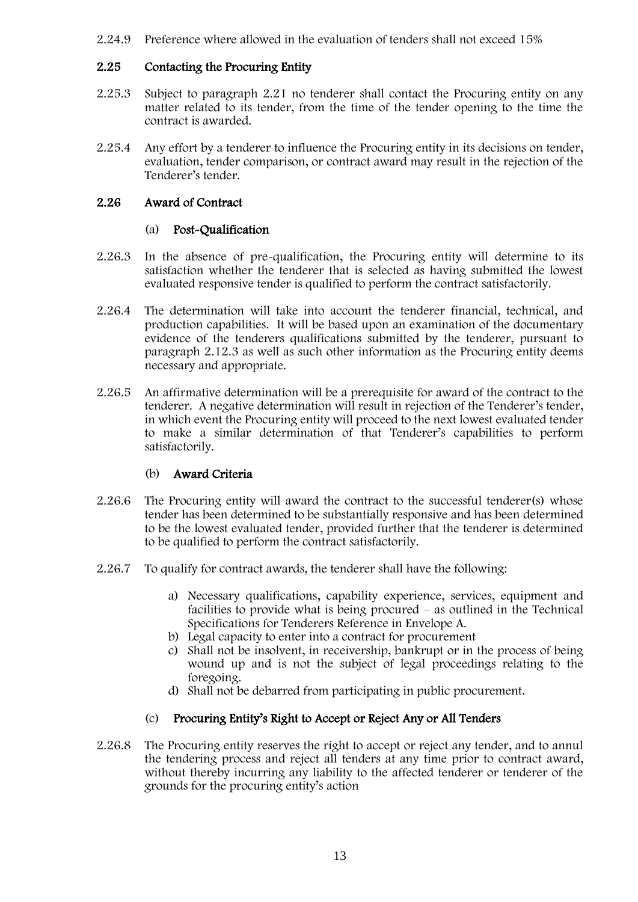2.24.9 Preference where allowed in the evaluation of tenders shall not exceed 15%

#### 2.25 Contacting the Procuring Entity

- 2.25.3 Subject to paragraph 2.21 no tenderer shall contact the Procuring entity on any matter related to its tender, from the time of the tender opening to the time the contract is awarded.
- 2.25.4 Any effort by a tenderer to influence the Procuring entity in its decisions on tender, evaluation, tender comparison, or contract award may result in the rejection of the Tenderer's tender.

#### 2.26 Award of Contract

#### (a) Post-Qualification

- 2.26.3 In the absence of pre-qualification, the Procuring entity will determine to its satisfaction whether the tenderer that is selected as having submitted the lowest evaluated responsive tender is qualified to perform the contract satisfactorily.
- 2.26.4 The determination will take into account the tenderer financial, technical, and production capabilities. It will be based upon an examination of the documentary evidence of the tenderers qualifications submitted by the tenderer, pursuant to paragraph 2.12.3 as well as such other information as the Procuring entity deems necessary and appropriate.
- 2.26.5 An affirmative determination will be a prerequisite for award of the contract to the tenderer. A negative determination will result in rejection of the Tenderer's tender, in which event the Procuring entity will proceed to the next lowest evaluated tender to make a similar determination of that Tenderer's capabilities to perform satisfactorily.

#### (b) Award Criteria

- 2.26.6 The Procuring entity will award the contract to the successful tenderer(s) whose tender has been determined to be substantially responsive and has been determined to be the lowest evaluated tender, provided further that the tenderer is determined to be qualified to perform the contract satisfactorily.
- 2.26.7 To qualify for contract awards, the tenderer shall have the following:
	- a) Necessary qualifications, capability experience, services, equipment and facilities to provide what is being procured – as outlined in the Technical Specifications for Tenderers Reference in Envelope A.
	- b) Legal capacity to enter into a contract for procurement
	- c) Shall not be insolvent, in receivership, bankrupt or in the process of being wound up and is not the subject of legal proceedings relating to the foregoing.
	- d) Shall not be debarred from participating in public procurement.

### (c) Procuring Entity's Right to Accept or Reject Any or All Tenders

2.26.8 The Procuring entity reserves the right to accept or reject any tender, and to annul the tendering process and reject all tenders at any time prior to contract award, without thereby incurring any liability to the affected tenderer or tenderer of the grounds for the procuring entity's action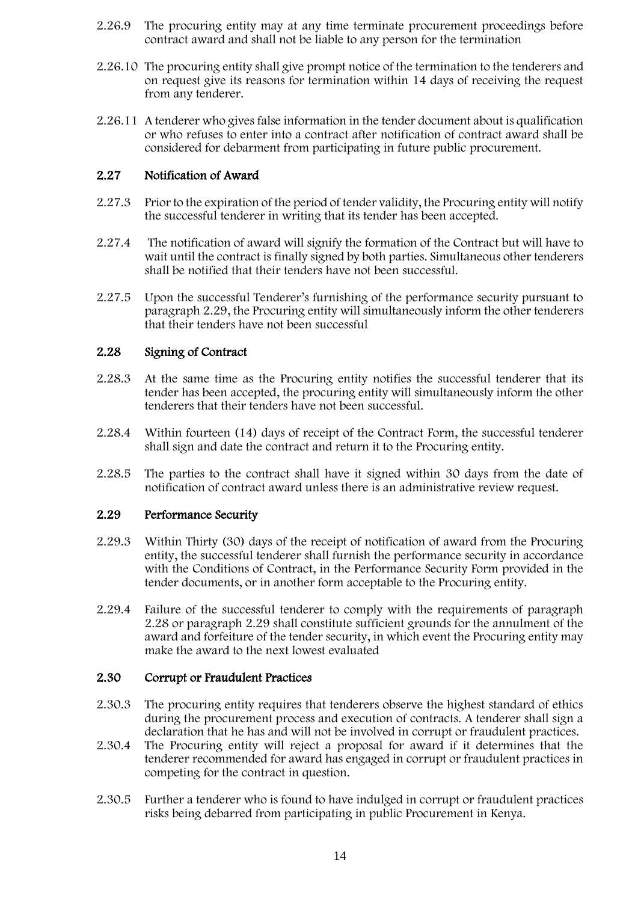- 2.26.9 The procuring entity may at any time terminate procurement proceedings before contract award and shall not be liable to any person for the termination
- 2.26.10 The procuring entity shall give prompt notice of the termination to the tenderers and on request give its reasons for termination within 14 days of receiving the request from any tenderer.
- 2.26.11 A tenderer who gives false information in the tender document about is qualification or who refuses to enter into a contract after notification of contract award shall be considered for debarment from participating in future public procurement.

#### 2.27 Notification of Award

- 2.27.3 Prior to the expiration of the period of tender validity, the Procuring entity will notify the successful tenderer in writing that its tender has been accepted.
- 2.27.4 The notification of award will signify the formation of the Contract but will have to wait until the contract is finally signed by both parties. Simultaneous other tenderers shall be notified that their tenders have not been successful.
- 2.27.5 Upon the successful Tenderer's furnishing of the performance security pursuant to paragraph 2.29, the Procuring entity will simultaneously inform the other tenderers that their tenders have not been successful

#### 2.28 Signing of Contract

- 2.28.3 At the same time as the Procuring entity notifies the successful tenderer that its tender has been accepted, the procuring entity will simultaneously inform the other tenderers that their tenders have not been successful.
- 2.28.4 Within fourteen (14) days of receipt of the Contract Form, the successful tenderer shall sign and date the contract and return it to the Procuring entity.
- 2.28.5 The parties to the contract shall have it signed within 30 days from the date of notification of contract award unless there is an administrative review request.

#### 2.29 Performance Security

- 2.29.3 Within Thirty (30) days of the receipt of notification of award from the Procuring entity, the successful tenderer shall furnish the performance security in accordance with the Conditions of Contract, in the Performance Security Form provided in the tender documents, or in another form acceptable to the Procuring entity.
- 2.29.4 Failure of the successful tenderer to comply with the requirements of paragraph 2.28 or paragraph 2.29 shall constitute sufficient grounds for the annulment of the award and forfeiture of the tender security, in which event the Procuring entity may make the award to the next lowest evaluated

#### 2.30 Corrupt or Fraudulent Practices

- 2.30.3 The procuring entity requires that tenderers observe the highest standard of ethics during the procurement process and execution of contracts. A tenderer shall sign a declaration that he has and will not be involved in corrupt or fraudulent practices.
- 2.30.4 The Procuring entity will reject a proposal for award if it determines that the tenderer recommended for award has engaged in corrupt or fraudulent practices in competing for the contract in question.
- 2.30.5 Further a tenderer who is found to have indulged in corrupt or fraudulent practices risks being debarred from participating in public Procurement in Kenya.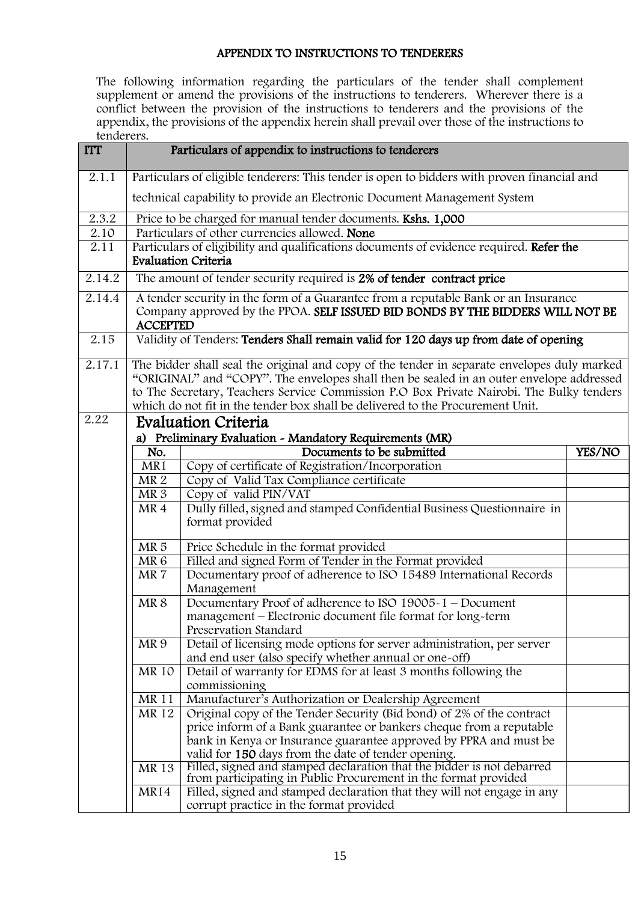### APPENDIX TO INSTRUCTIONS TO TENDERERS

<span id="page-14-0"></span>The following information regarding the particulars of the tender shall complement supplement or amend the provisions of the instructions to tenderers. Wherever there is a conflict between the provision of the instructions to tenderers and the provisions of the appendix, the provisions of the appendix herein shall prevail over those of the instructions to tenderers.

| <b>ITT</b> |                 | Particulars of appendix to instructions to tenderers                                                                                                                                                                                                                                                                                                                  |        |
|------------|-----------------|-----------------------------------------------------------------------------------------------------------------------------------------------------------------------------------------------------------------------------------------------------------------------------------------------------------------------------------------------------------------------|--------|
| 2.1.1      |                 | Particulars of eligible tenderers: This tender is open to bidders with proven financial and                                                                                                                                                                                                                                                                           |        |
|            |                 | technical capability to provide an Electronic Document Management System                                                                                                                                                                                                                                                                                              |        |
| 2.3.2      |                 | Price to be charged for manual tender documents. Kshs. 1,000                                                                                                                                                                                                                                                                                                          |        |
| 2.10       |                 | Particulars of other currencies allowed. None                                                                                                                                                                                                                                                                                                                         |        |
| 2.11       |                 | Particulars of eligibility and qualifications documents of evidence required. Refer the<br><b>Evaluation Criteria</b>                                                                                                                                                                                                                                                 |        |
| 2.14.2     |                 | The amount of tender security required is 2% of tender contract price                                                                                                                                                                                                                                                                                                 |        |
| 2.14.4     | <b>ACCEPTED</b> | A tender security in the form of a Guarantee from a reputable Bank or an Insurance<br>Company approved by the PPOA. SELF ISSUED BID BONDS BY THE BIDDERS WILL NOT BE                                                                                                                                                                                                  |        |
| 2.15       |                 | Validity of Tenders: Tenders Shall remain valid for 120 days up from date of opening                                                                                                                                                                                                                                                                                  |        |
| 2.17.1     |                 | The bidder shall seal the original and copy of the tender in separate envelopes duly marked<br>"ORIGINAL" and "COPY". The envelopes shall then be sealed in an outer envelope addressed<br>to The Secretary, Teachers Service Commission P.O Box Private Nairobi. The Bulky tenders<br>which do not fit in the tender box shall be delivered to the Procurement Unit. |        |
| 2.22       |                 | <b>Evaluation Criteria</b>                                                                                                                                                                                                                                                                                                                                            |        |
|            |                 | a) Preliminary Evaluation - Mandatory Requirements (MR)                                                                                                                                                                                                                                                                                                               |        |
|            | No.             | Documents to be submitted                                                                                                                                                                                                                                                                                                                                             | YES/NO |
|            | MR1             | Copy of certificate of Registration/Incorporation                                                                                                                                                                                                                                                                                                                     |        |
|            | MR <sub>2</sub> | Copy of Valid Tax Compliance certificate                                                                                                                                                                                                                                                                                                                              |        |
|            | MR <sub>3</sub> | Copy of valid PIN/VAT                                                                                                                                                                                                                                                                                                                                                 |        |
|            | MR <sub>4</sub> | Dully filled, signed and stamped Confidential Business Questionnaire in<br>format provided                                                                                                                                                                                                                                                                            |        |
|            | MR <sub>5</sub> | Price Schedule in the format provided                                                                                                                                                                                                                                                                                                                                 |        |
|            | MR <sub>6</sub> | Filled and signed Form of Tender in the Format provided                                                                                                                                                                                                                                                                                                               |        |
|            | MR7             | Documentary proof of adherence to ISO 15489 International Records<br>Management                                                                                                                                                                                                                                                                                       |        |
|            | MR <sub>8</sub> | Documentary Proof of adherence to ISO 19005-1 - Document                                                                                                                                                                                                                                                                                                              |        |
|            |                 | management - Electronic document file format for long-term<br>Preservation Standard                                                                                                                                                                                                                                                                                   |        |
|            | MR <sub>9</sub> | Detail of licensing mode options for server administration, per server<br>and end user (also specify whether annual or one-off)                                                                                                                                                                                                                                       |        |
|            | MR 10           | Detail of warranty for EDMS for at least 3 months following the                                                                                                                                                                                                                                                                                                       |        |
|            |                 | commissioning                                                                                                                                                                                                                                                                                                                                                         |        |
|            | <b>MR11</b>     | Manufacturer's Authorization or Dealership Agreement                                                                                                                                                                                                                                                                                                                  |        |
|            | <b>MR12</b>     | Original copy of the Tender Security (Bid bond) of 2% of the contract                                                                                                                                                                                                                                                                                                 |        |
|            |                 | price inform of a Bank guarantee or bankers cheque from a reputable                                                                                                                                                                                                                                                                                                   |        |
|            |                 | bank in Kenya or Insurance guarantee approved by PPRA and must be                                                                                                                                                                                                                                                                                                     |        |
|            |                 | valid for 150 days from the date of tender opening.                                                                                                                                                                                                                                                                                                                   |        |
|            | MR 13           | Filled, signed and stamped declaration that the bidder is not debarred<br>from participating in Public Procurement in the format provided                                                                                                                                                                                                                             |        |
|            | <b>MR14</b>     | Filled, signed and stamped declaration that they will not engage in any<br>corrupt practice in the format provided                                                                                                                                                                                                                                                    |        |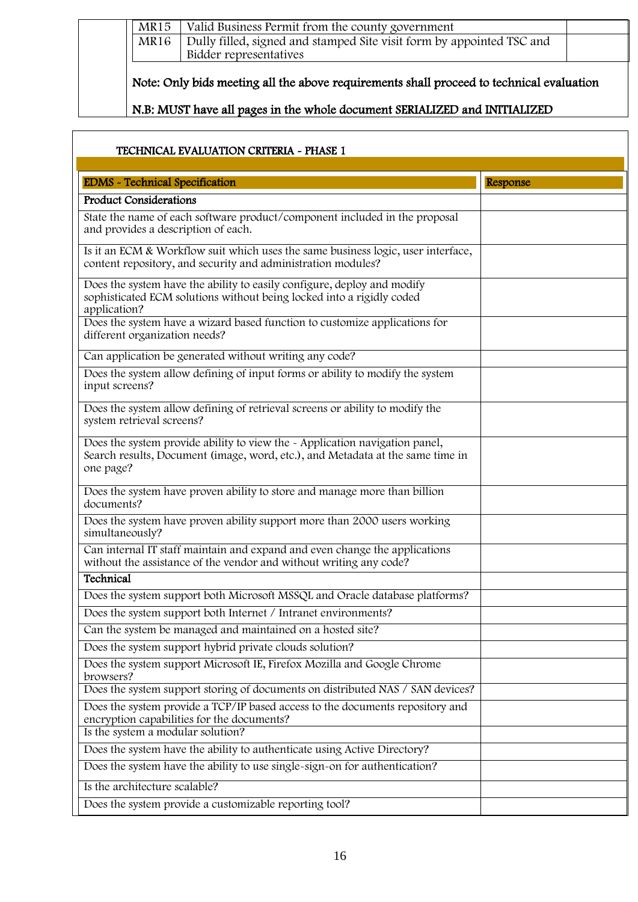| MR15        | Valid Business Permit from the county government                                         |  |
|-------------|------------------------------------------------------------------------------------------|--|
| <b>MR16</b> | Dully filled, signed and stamped Site visit form by appointed TSC and                    |  |
|             | Bidder representatives                                                                   |  |
|             |                                                                                          |  |
|             | Note: Only bids meeting all the above requirements shall proceed to technical evaluation |  |

| TECHNICAL EVALUATION CRITERIA ~ PHASE 1                                                                                                                          |          |
|------------------------------------------------------------------------------------------------------------------------------------------------------------------|----------|
| <b>EDMS</b> - Technical Specification                                                                                                                            | Response |
| <b>Product Considerations</b>                                                                                                                                    |          |
| State the name of each software product/component included in the proposal<br>and provides a description of each.                                                |          |
| Is it an ECM & Workflow suit which uses the same business logic, user interface,<br>content repository, and security and administration modules?                 |          |
| Does the system have the ability to easily configure, deploy and modify<br>sophisticated ECM solutions without being locked into a rigidly coded<br>application? |          |
| Does the system have a wizard based function to customize applications for<br>different organization needs?                                                      |          |
| Can application be generated without writing any code?                                                                                                           |          |
| Does the system allow defining of input forms or ability to modify the system<br>input screens?                                                                  |          |

| different organization needs?                                                                                                                                              |  |
|----------------------------------------------------------------------------------------------------------------------------------------------------------------------------|--|
| Can application be generated without writing any code?                                                                                                                     |  |
| Does the system allow defining of input forms or ability to modify the system<br>input screens?                                                                            |  |
| Does the system allow defining of retrieval screens or ability to modify the<br>system retrieval screens?                                                                  |  |
| Does the system provide ability to view the - Application navigation panel,<br>Search results, Document (image, word, etc.), and Metadata at the same time in<br>one page? |  |
| Does the system have proven ability to store and manage more than billion<br>documents?                                                                                    |  |
| Does the system have proven ability support more than 2000 users working<br>simultaneously?                                                                                |  |
| Can internal IT staff maintain and expand and even change the applications<br>without the assistance of the vendor and without writing any code?                           |  |
| Technical                                                                                                                                                                  |  |
| Does the system support both Microsoft MSSQL and Oracle database platforms?                                                                                                |  |
| Does the system support both Internet / Intranet environments?                                                                                                             |  |
| Can the system be managed and maintained on a hosted site?                                                                                                                 |  |
| Does the system support hybrid private clouds solution?                                                                                                                    |  |
| Does the system support Microsoft IE, Firefox Mozilla and Google Chrome<br>browsers?                                                                                       |  |
| Does the system support storing of documents on distributed NAS / SAN devices?                                                                                             |  |
| Does the system provide a TCP/IP based access to the documents repository and<br>encryption capabilities for the documents?                                                |  |
| Is the system a modular solution?                                                                                                                                          |  |
| Does the system have the ability to authenticate using Active Directory?                                                                                                   |  |

Does the system have the ability to use single-sign-on for authentication? Is the architecture scalable?

Does the system provide a customizable reporting tool?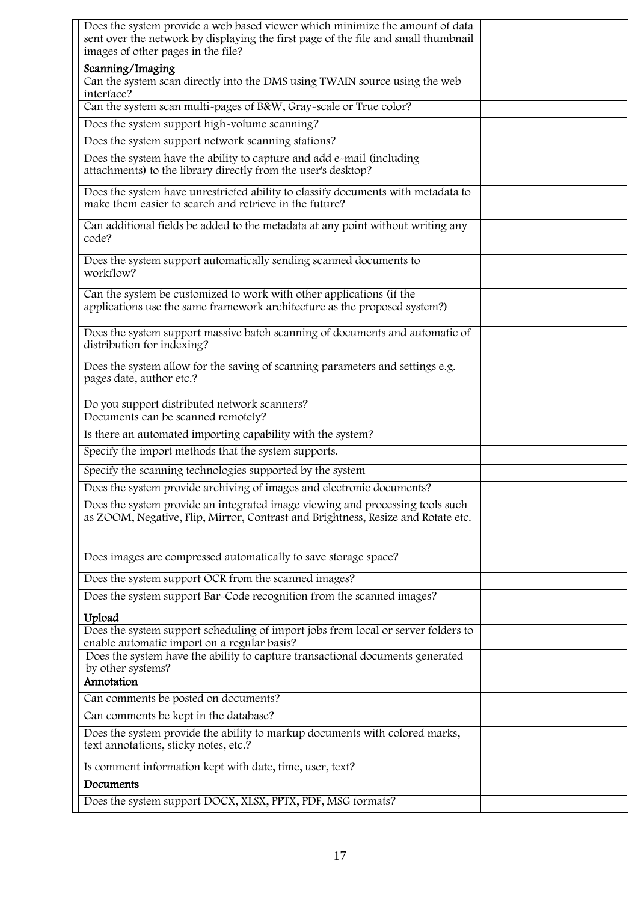| Does the system provide a web based viewer which minimize the amount of data<br>sent over the network by displaying the first page of the file and small thumbnail |  |
|--------------------------------------------------------------------------------------------------------------------------------------------------------------------|--|
| images of other pages in the file?                                                                                                                                 |  |
| Scanning/Imaging<br>Can the system scan directly into the DMS using TWAIN source using the web                                                                     |  |
| interface?                                                                                                                                                         |  |
| Can the system scan multi-pages of B&W, Gray-scale or True color?                                                                                                  |  |
| Does the system support high-volume scanning?                                                                                                                      |  |
| Does the system support network scanning stations?                                                                                                                 |  |
| Does the system have the ability to capture and add e-mail (including<br>attachments) to the library directly from the user's desktop?                             |  |
| Does the system have unrestricted ability to classify documents with metadata to<br>make them easier to search and retrieve in the future?                         |  |
| Can additional fields be added to the metadata at any point without writing any<br>code?                                                                           |  |
| Does the system support automatically sending scanned documents to<br>workflow?                                                                                    |  |
| Can the system be customized to work with other applications (if the<br>applications use the same framework architecture as the proposed system?)                  |  |
| Does the system support massive batch scanning of documents and automatic of<br>distribution for indexing?                                                         |  |
| Does the system allow for the saving of scanning parameters and settings e.g.<br>pages date, author etc.?                                                          |  |
| Do you support distributed network scanners?                                                                                                                       |  |
| Documents can be scanned remotely?                                                                                                                                 |  |
| Is there an automated importing capability with the system?                                                                                                        |  |
| Specify the import methods that the system supports.                                                                                                               |  |
| Specify the scanning technologies supported by the system                                                                                                          |  |
| Does the system provide archiving of images and electronic documents?                                                                                              |  |
| Does the system provide an integrated image viewing and processing tools such<br>as ZOOM, Negative, Flip, Mirror, Contrast and Brightness, Resize and Rotate etc.  |  |
| Does images are compressed automatically to save storage space?                                                                                                    |  |
| Does the system support OCR from the scanned images?                                                                                                               |  |
| Does the system support Bar-Code recognition from the scanned images?                                                                                              |  |
| Upload                                                                                                                                                             |  |
| Does the system support scheduling of import jobs from local or server folders to<br>enable automatic import on a regular basis?                                   |  |
| Does the system have the ability to capture transactional documents generated<br>by other systems?                                                                 |  |
| Annotation                                                                                                                                                         |  |
| Can comments be posted on documents?                                                                                                                               |  |
| Can comments be kept in the database?                                                                                                                              |  |
| Does the system provide the ability to markup documents with colored marks,<br>text annotations, sticky notes, etc.?                                               |  |
| Is comment information kept with date, time, user, text?                                                                                                           |  |
| Documents                                                                                                                                                          |  |
| Does the system support DOCX, XLSX, PPTX, PDF, MSG formats?                                                                                                        |  |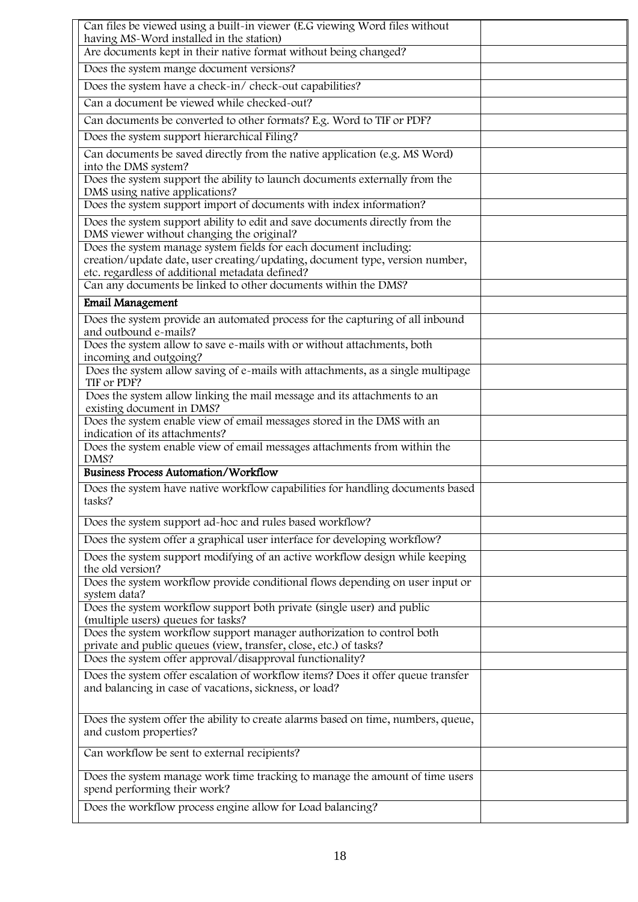| Can files be viewed using a built-in viewer (E.G viewing Word files without                                                                                                                          |  |
|------------------------------------------------------------------------------------------------------------------------------------------------------------------------------------------------------|--|
| having MS-Word installed in the station)<br>Are documents kept in their native format without being changed?                                                                                         |  |
| Does the system mange document versions?                                                                                                                                                             |  |
| Does the system have a check-in/ check-out capabilities?                                                                                                                                             |  |
| Can a document be viewed while checked-out?                                                                                                                                                          |  |
| Can documents be converted to other formats? E.g. Word to TIF or PDF?                                                                                                                                |  |
| Does the system support hierarchical Filing?                                                                                                                                                         |  |
| Can documents be saved directly from the native application (e.g. MS Word)<br>into the DMS system?                                                                                                   |  |
| Does the system support the ability to launch documents externally from the<br>DMS using native applications?                                                                                        |  |
| Does the system support import of documents with index information?                                                                                                                                  |  |
| Does the system support ability to edit and save documents directly from the<br>DMS viewer without changing the original?                                                                            |  |
| Does the system manage system fields for each document including:<br>creation/update date, user creating/updating, document type, version number,<br>etc. regardless of additional metadata defined? |  |
| Can any documents be linked to other documents within the DMS?                                                                                                                                       |  |
| <b>Email Management</b>                                                                                                                                                                              |  |
| Does the system provide an automated process for the capturing of all inbound<br>and outbound e-mails?                                                                                               |  |
| Does the system allow to save e-mails with or without attachments, both<br>incoming and outgoing?                                                                                                    |  |
| Does the system allow saving of e-mails with attachments, as a single multipage<br>TIF or PDF?                                                                                                       |  |
| Does the system allow linking the mail message and its attachments to an<br>existing document in DMS?                                                                                                |  |
| Does the system enable view of email messages stored in the DMS with an<br>indication of its attachments?                                                                                            |  |
| Does the system enable view of email messages attachments from within the<br>DMS?                                                                                                                    |  |
| <b>Business Process Automation/Workflow</b>                                                                                                                                                          |  |
| Does the system have native workflow capabilities for handling documents based<br>tasks?                                                                                                             |  |
| Does the system support ad-hoc and rules based workflow?                                                                                                                                             |  |
| Does the system offer a graphical user interface for developing workflow?                                                                                                                            |  |
| Does the system support modifying of an active workflow design while keeping<br>the old version?                                                                                                     |  |
| Does the system workflow provide conditional flows depending on user input or<br>system data?                                                                                                        |  |
| Does the system workflow support both private (single user) and public<br>(multiple users) queues for tasks?                                                                                         |  |
| Does the system workflow support manager authorization to control both<br>private and public queues (view, transfer, close, etc.) of tasks?                                                          |  |
| Does the system offer approval/disapproval functionality?                                                                                                                                            |  |
| Does the system offer escalation of workflow items? Does it offer queue transfer<br>and balancing in case of vacations, sickness, or load?                                                           |  |
| Does the system offer the ability to create alarms based on time, numbers, queue,<br>and custom properties?                                                                                          |  |
| Can workflow be sent to external recipients?                                                                                                                                                         |  |
| Does the system manage work time tracking to manage the amount of time users<br>spend performing their work?                                                                                         |  |
| Does the workflow process engine allow for Load balancing?                                                                                                                                           |  |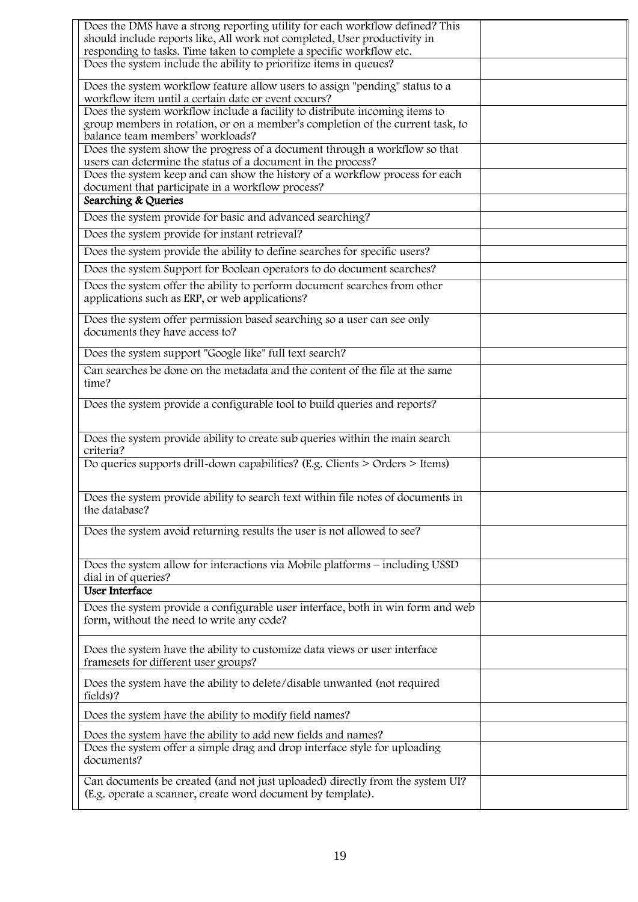| Does the DMS have a strong reporting utility for each workflow defined? This          |  |
|---------------------------------------------------------------------------------------|--|
| should include reports like, All work not completed, User productivity in             |  |
| responding to tasks. Time taken to complete a specific workflow etc.                  |  |
| Does the system include the ability to prioritize items in queues?                    |  |
| Does the system workflow feature allow users to assign "pending" status to a          |  |
| workflow item until a certain date or event occurs?                                   |  |
| Does the system workflow include a facility to distribute incoming items to           |  |
| group members in rotation, or on a member's completion of the current task, to        |  |
| balance team members' workloads?                                                      |  |
| Does the system show the progress of a document through a workflow so that            |  |
| users can determine the status of a document in the process?                          |  |
| Does the system keep and can show the history of a workflow process for each          |  |
| document that participate in a workflow process?                                      |  |
| Searching & Queries                                                                   |  |
| Does the system provide for basic and advanced searching?                             |  |
| Does the system provide for instant retrieval?                                        |  |
| Does the system provide the ability to define searches for specific users?            |  |
| Does the system Support for Boolean operators to do document searches?                |  |
|                                                                                       |  |
| Does the system offer the ability to perform document searches from other             |  |
| applications such as ERP, or web applications?                                        |  |
| Does the system offer permission based searching so a user can see only               |  |
| documents they have access to?                                                        |  |
|                                                                                       |  |
| Does the system support "Google like" full text search?                               |  |
| Can searches be done on the metadata and the content of the file at the same          |  |
| time?                                                                                 |  |
| Does the system provide a configurable tool to build queries and reports?             |  |
|                                                                                       |  |
|                                                                                       |  |
| Does the system provide ability to create sub queries within the main search          |  |
| criteria?                                                                             |  |
| Do queries supports drill-down capabilities? (E.g. Clients > Orders > Items)          |  |
|                                                                                       |  |
| Does the system provide ability to search text within file notes of documents in      |  |
| the database?                                                                         |  |
|                                                                                       |  |
| Does the system avoid returning results the user is not allowed to see?               |  |
|                                                                                       |  |
|                                                                                       |  |
| Does the system allow for interactions via Mobile platforms – including USSD          |  |
| dial in of queries?<br><b>User Interface</b>                                          |  |
|                                                                                       |  |
| Does the system provide a configurable user interface, both in win form and web       |  |
| form, without the need to write any code?                                             |  |
|                                                                                       |  |
| Does the system have the ability to customize data views or user interface            |  |
| framesets for different user groups?                                                  |  |
|                                                                                       |  |
| Does the system have the ability to delete/disable unwanted (not required<br>fields)? |  |
|                                                                                       |  |
| Does the system have the ability to modify field names?                               |  |
| Does the system have the ability to add new fields and names?                         |  |
| Does the system offer a simple drag and drop interface style for uploading            |  |
| documents?                                                                            |  |
|                                                                                       |  |
| Can documents be created (and not just uploaded) directly from the system UI?         |  |
| (E.g. operate a scanner, create word document by template).                           |  |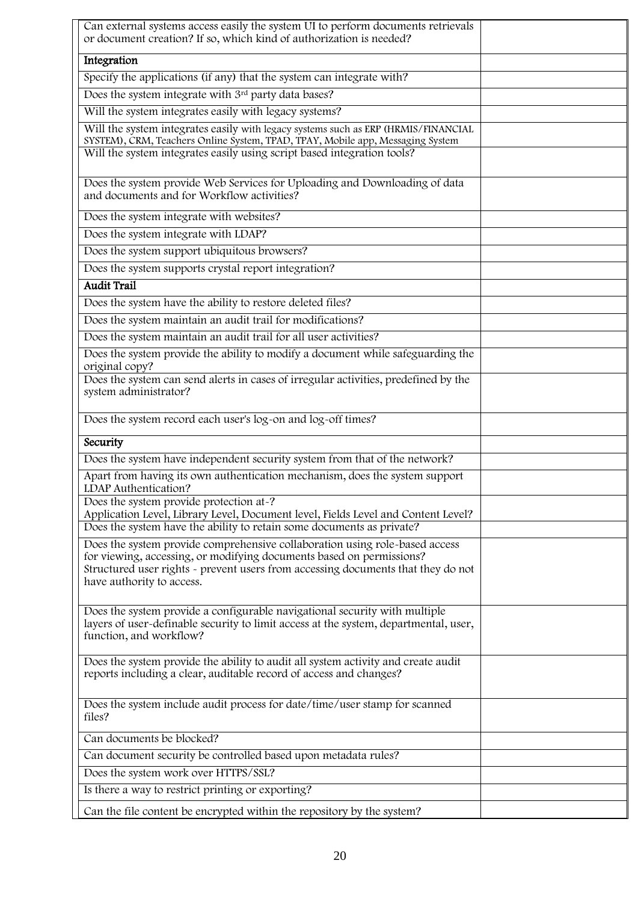| Can external systems access easily the system UI to perform documents retrievals<br>or document creation? If so, which kind of authorization is needed?                                       |  |
|-----------------------------------------------------------------------------------------------------------------------------------------------------------------------------------------------|--|
| Integration                                                                                                                                                                                   |  |
| Specify the applications (if any) that the system can integrate with?                                                                                                                         |  |
| Does the system integrate with 3rd party data bases?                                                                                                                                          |  |
| Will the system integrates easily with legacy systems?                                                                                                                                        |  |
| Will the system integrates easily with legacy systems such as ERP (HRMIS/FINANCIAL<br>SYSTEM), CRM, Teachers Online System, TPAD, TPAY, Mobile app, Messaging System                          |  |
| Will the system integrates easily using script based integration tools?                                                                                                                       |  |
| Does the system provide Web Services for Uploading and Downloading of data<br>and documents and for Workflow activities?                                                                      |  |
| Does the system integrate with websites?                                                                                                                                                      |  |
| Does the system integrate with LDAP?                                                                                                                                                          |  |
| Does the system support ubiquitous browsers?                                                                                                                                                  |  |
| Does the system supports crystal report integration?                                                                                                                                          |  |
| <b>Audit Trail</b>                                                                                                                                                                            |  |
| Does the system have the ability to restore deleted files?                                                                                                                                    |  |
| Does the system maintain an audit trail for modifications?                                                                                                                                    |  |
| Does the system maintain an audit trail for all user activities?                                                                                                                              |  |
| Does the system provide the ability to modify a document while safeguarding the<br>original copy?                                                                                             |  |
| Does the system can send alerts in cases of irregular activities, predefined by the<br>system administrator?                                                                                  |  |
| Does the system record each user's log-on and log-off times?                                                                                                                                  |  |
| Security                                                                                                                                                                                      |  |
| Does the system have independent security system from that of the network?                                                                                                                    |  |
| Apart from having its own authentication mechanism, does the system support<br>LDAP Authentication?                                                                                           |  |
| Does the system provide protection at-?<br>Application Level, Library Level, Document level, Fields Level and Content Level?                                                                  |  |
| Does the system have the ability to retain some documents as private?                                                                                                                         |  |
| Does the system provide comprehensive collaboration using role-based access                                                                                                                   |  |
| for viewing, accessing, or modifying documents based on permissions?<br>Structured user rights - prevent users from accessing documents that they do not<br>have authority to access.         |  |
| Does the system provide a configurable navigational security with multiple<br>layers of user-definable security to limit access at the system, departmental, user,<br>function, and workflow? |  |
| Does the system provide the ability to audit all system activity and create audit<br>reports including a clear, auditable record of access and changes?                                       |  |
| Does the system include audit process for date/time/user stamp for scanned<br>files?                                                                                                          |  |
| Can documents be blocked?                                                                                                                                                                     |  |
| Can document security be controlled based upon metadata rules?                                                                                                                                |  |
| Does the system work over HTTPS/SSL?                                                                                                                                                          |  |
| Is there a way to restrict printing or exporting?                                                                                                                                             |  |
| Can the file content be encrypted within the repository by the system?                                                                                                                        |  |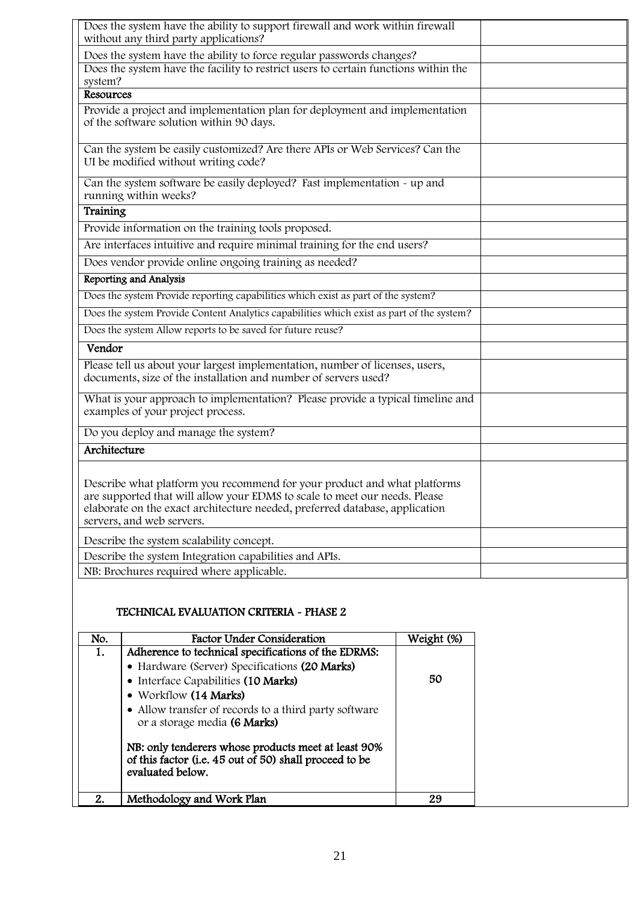| Does the system have the ability to support firewall and work within firewall<br>without any third party applications?                                                                                                                                             |  |
|--------------------------------------------------------------------------------------------------------------------------------------------------------------------------------------------------------------------------------------------------------------------|--|
| Does the system have the ability to force regular passwords changes?                                                                                                                                                                                               |  |
| Does the system have the facility to restrict users to certain functions within the<br>system?                                                                                                                                                                     |  |
| Resources                                                                                                                                                                                                                                                          |  |
| Provide a project and implementation plan for deployment and implementation<br>of the software solution within 90 days.                                                                                                                                            |  |
| Can the system be easily customized? Are there APIs or Web Services? Can the<br>UI be modified without writing code?                                                                                                                                               |  |
| Can the system software be easily deployed? Fast implementation - up and<br>running within weeks?                                                                                                                                                                  |  |
| Training                                                                                                                                                                                                                                                           |  |
| Provide information on the training tools proposed.                                                                                                                                                                                                                |  |
| Are interfaces intuitive and require minimal training for the end users?                                                                                                                                                                                           |  |
| Does vendor provide online ongoing training as needed?                                                                                                                                                                                                             |  |
| Reporting and Analysis                                                                                                                                                                                                                                             |  |
| Does the system Provide reporting capabilities which exist as part of the system?                                                                                                                                                                                  |  |
| Does the system Provide Content Analytics capabilities which exist as part of the system?                                                                                                                                                                          |  |
| Does the system Allow reports to be saved for future reuse?                                                                                                                                                                                                        |  |
| Vendor                                                                                                                                                                                                                                                             |  |
| Please tell us about your largest implementation, number of licenses, users,<br>documents, size of the installation and number of servers used?                                                                                                                    |  |
| What is your approach to implementation? Please provide a typical timeline and<br>examples of your project process.                                                                                                                                                |  |
| Do you deploy and manage the system?                                                                                                                                                                                                                               |  |
| Architecture                                                                                                                                                                                                                                                       |  |
| Describe what platform you recommend for your product and what platforms<br>are supported that will allow your EDMS to scale to meet our needs. Please<br>elaborate on the exact architecture needed, preferred database, application<br>servers, and web servers. |  |
| Describe the system scalability concept.                                                                                                                                                                                                                           |  |
| Describe the system Integration capabilities and APIs.                                                                                                                                                                                                             |  |
| NB: Brochures required where applicable.                                                                                                                                                                                                                           |  |

#### TECHNICAL EVALUATION CRITERIA - PHASE 2

| No. | Factor Under Consideration                                                                                                        | Weight (%) |
|-----|-----------------------------------------------------------------------------------------------------------------------------------|------------|
| 1.  | Adherence to technical specifications of the EDRMS:                                                                               |            |
|     | • Hardware (Server) Specifications (20 Marks)                                                                                     |            |
|     | • Interface Capabilities (10 Marks)                                                                                               | 50         |
|     | • Workflow (14 Marks)                                                                                                             |            |
|     | • Allow transfer of records to a third party software<br>or a storage media (6 Marks)                                             |            |
|     | NB: only tenderers whose products meet at least 90%<br>of this factor (i.e. 45 out of 50) shall proceed to be<br>evaluated below. |            |
| 2.  | Methodology and Work Plan                                                                                                         | 29         |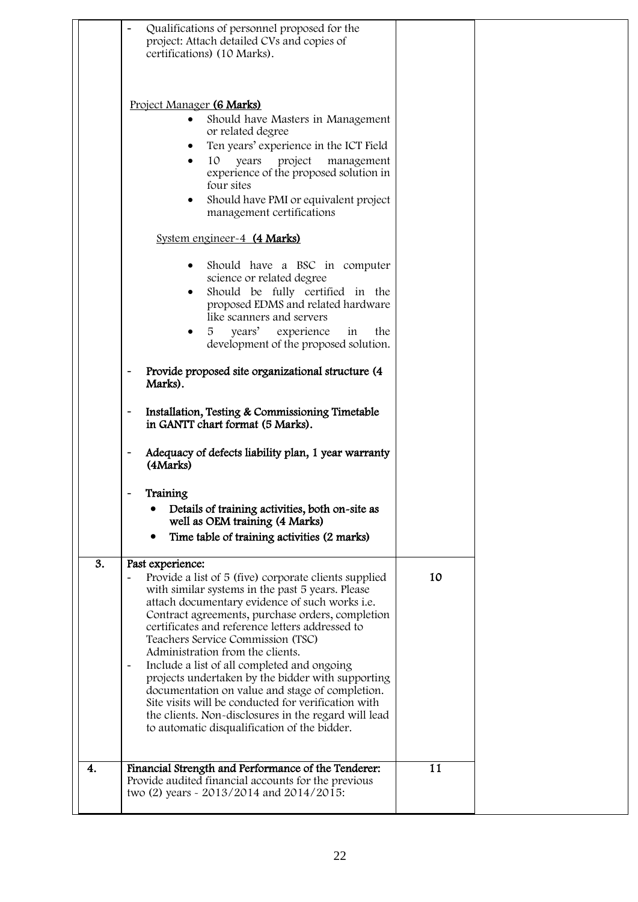|    | Qualifications of personnel proposed for the<br>project: Attach detailed CVs and copies of<br>certifications) (10 Marks).                                                                                                                                                                                                                                                                                                                                                                                                                                                                                                                                                                                                                         |    |  |
|----|---------------------------------------------------------------------------------------------------------------------------------------------------------------------------------------------------------------------------------------------------------------------------------------------------------------------------------------------------------------------------------------------------------------------------------------------------------------------------------------------------------------------------------------------------------------------------------------------------------------------------------------------------------------------------------------------------------------------------------------------------|----|--|
|    | Project Manager (6 Marks)<br>Should have Masters in Management<br>$\bullet$<br>or related degree<br>Ten years' experience in the ICT Field<br>10<br>project<br>years<br>management<br>experience of the proposed solution in<br>four sites<br>Should have PMI or equivalent project<br>management certifications                                                                                                                                                                                                                                                                                                                                                                                                                                  |    |  |
|    | System engineer-4 (4 Marks)                                                                                                                                                                                                                                                                                                                                                                                                                                                                                                                                                                                                                                                                                                                       |    |  |
|    | Should have a BSC in computer<br>$\bullet$<br>science or related degree<br>Should be fully certified in the<br>proposed EDMS and related hardware<br>like scanners and servers                                                                                                                                                                                                                                                                                                                                                                                                                                                                                                                                                                    |    |  |
|    | 5 years' experience<br>the<br>in<br>development of the proposed solution.                                                                                                                                                                                                                                                                                                                                                                                                                                                                                                                                                                                                                                                                         |    |  |
|    | Provide proposed site organizational structure (4<br>$\qquad \qquad -$<br>Marks).                                                                                                                                                                                                                                                                                                                                                                                                                                                                                                                                                                                                                                                                 |    |  |
|    | Installation, Testing & Commissioning Timetable<br>$\qquad \qquad -$<br>in GANTT chart format (5 Marks).                                                                                                                                                                                                                                                                                                                                                                                                                                                                                                                                                                                                                                          |    |  |
|    | Adequacy of defects liability plan, 1 year warranty<br>(4Marks)                                                                                                                                                                                                                                                                                                                                                                                                                                                                                                                                                                                                                                                                                   |    |  |
|    | Training<br>Details of training activities, both on-site as<br>well as OEM training (4 Marks)<br>Time table of training activities (2 marks)<br>$\bullet$                                                                                                                                                                                                                                                                                                                                                                                                                                                                                                                                                                                         |    |  |
| 3. | Past experience:<br>Provide a list of 5 (five) corporate clients supplied<br>$\qquad \qquad \blacksquare$<br>with similar systems in the past 5 years. Please<br>attach documentary evidence of such works i.e.<br>Contract agreements, purchase orders, completion<br>certificates and reference letters addressed to<br>Teachers Service Commission (TSC)<br>Administration from the clients.<br>Include a list of all completed and ongoing<br>$\overline{\phantom{a}}$<br>projects undertaken by the bidder with supporting<br>documentation on value and stage of completion.<br>Site visits will be conducted for verification with<br>the clients. Non-disclosures in the regard will lead<br>to automatic disqualification of the bidder. | 10 |  |
| 4. | Financial Strength and Performance of the Tenderer:<br>Provide audited financial accounts for the previous<br>two (2) years - 2013/2014 and 2014/2015:                                                                                                                                                                                                                                                                                                                                                                                                                                                                                                                                                                                            | 11 |  |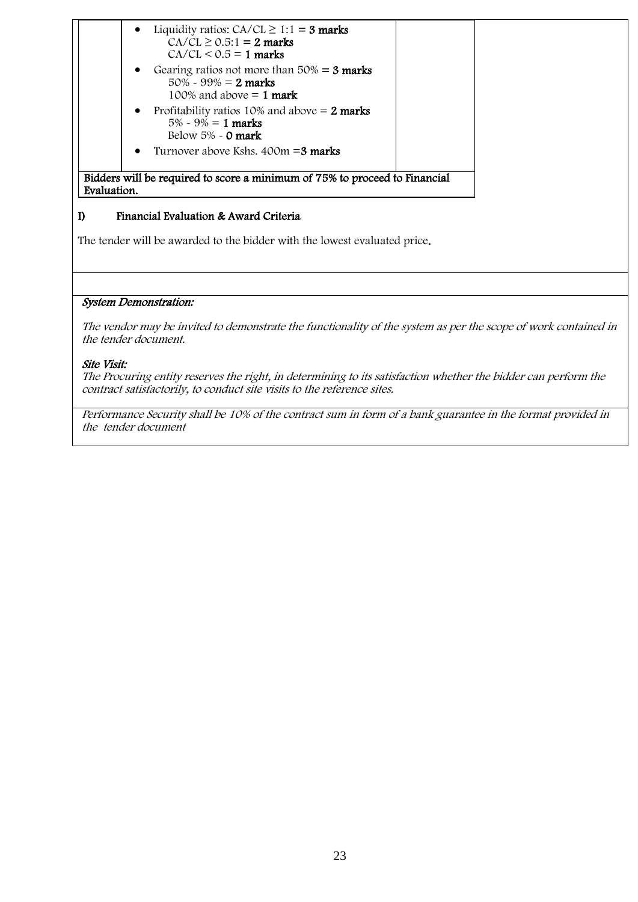| Gearing ratios not more than $50\% = 3$ marks<br>$\bullet$<br>$50\% \sim 99\% = 2$ marks<br>100% and above $= 1$ mark<br>Profitability ratios 10% and above $= 2$ marks<br>$\bullet$<br>$5\% \sim 9\% = 1$ marks<br>Below $5\%$ - 0 mark<br>Turnover above Kshs, $400m = 3$ marks<br>$\bullet$ | $\bullet$ | Liquidity ratios: $CA/CL \ge 1:1 = 3$ marks<br>$CA/CL \ge 0.5:1 = 2$ marks<br>$CA/CL < 0.5 = 1$ marks |  |
|------------------------------------------------------------------------------------------------------------------------------------------------------------------------------------------------------------------------------------------------------------------------------------------------|-----------|-------------------------------------------------------------------------------------------------------|--|
|                                                                                                                                                                                                                                                                                                |           |                                                                                                       |  |
|                                                                                                                                                                                                                                                                                                |           |                                                                                                       |  |
|                                                                                                                                                                                                                                                                                                |           |                                                                                                       |  |

#### $\mathbf{D}$ I) Financial Evaluation & Award Criteria

The tender will be awarded to the bidder with the lowest evaluated price.

#### System Demonstration:

The vendor may be invited to demonstrate the functionality of the system as per the scope of work contained in the tender document.

#### Site Visit:

The Procuring entity reserves the right, in determining to its satisfaction whether the bidder can perform the contract satisfactorily, to conduct site visits to the reference sites.

Performance Security shall be 10% of the contract sum in form of a bank guarantee in the format provided in the tender document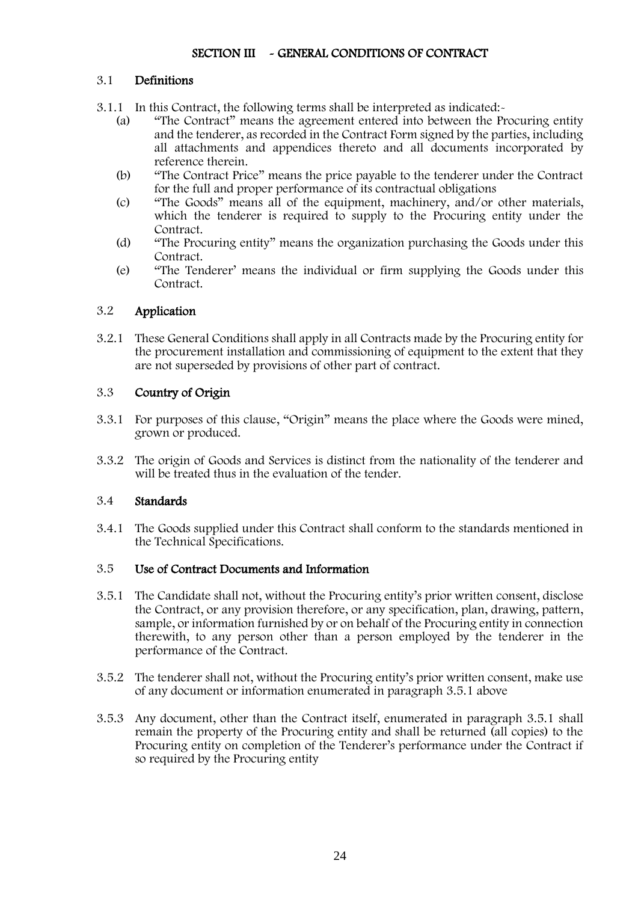### SECTION III ~ GENERAL CONDITIONS OF CONTRACT

#### 3.1 Definitions

- 3.1.1 In this Contract, the following terms shall be interpreted as indicated:-
	- (a) "The Contract" means the agreement entered into between the Procuring entity and the tenderer, as recorded in the Contract Form signed by the parties, including all attachments and appendices thereto and all documents incorporated by reference therein.
	- (b) "The Contract Price" means the price payable to the tenderer under the Contract for the full and proper performance of its contractual obligations
	- (c) "The Goods" means all of the equipment, machinery, and/or other materials, which the tenderer is required to supply to the Procuring entity under the Contract.
	- (d) "The Procuring entity" means the organization purchasing the Goods under this Contract.
	- (e) "The Tenderer' means the individual or firm supplying the Goods under this Contract

### 3.2 Application

3.2.1 These General Conditions shall apply in all Contracts made by the Procuring entity for the procurement installation and commissioning of equipment to the extent that they are not superseded by provisions of other part of contract.

#### 3.3 Country of Origin

- 3.3.1 For purposes of this clause, "Origin" means the place where the Goods were mined, grown or produced.
- 3.3.2 The origin of Goods and Services is distinct from the nationality of the tenderer and will be treated thus in the evaluation of the tender.

#### 3.4 Standards

3.4.1 The Goods supplied under this Contract shall conform to the standards mentioned in the Technical Specifications.

#### 3.5 Use of Contract Documents and Information

- 3.5.1 The Candidate shall not, without the Procuring entity's prior written consent, disclose the Contract, or any provision therefore, or any specification, plan, drawing, pattern, sample, or information furnished by or on behalf of the Procuring entity in connection therewith, to any person other than a person employed by the tenderer in the performance of the Contract.
- 3.5.2 The tenderer shall not, without the Procuring entity's prior written consent, make use of any document or information enumerated in paragraph 3.5.1 above
- 3.5.3 Any document, other than the Contract itself, enumerated in paragraph 3.5.1 shall remain the property of the Procuring entity and shall be returned (all copies) to the Procuring entity on completion of the Tenderer's performance under the Contract if so required by the Procuring entity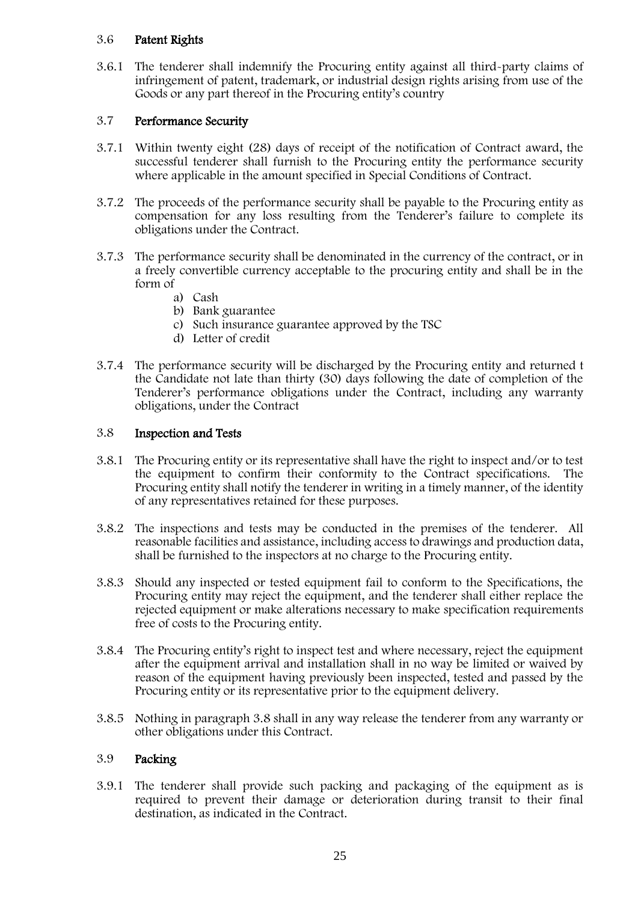#### 3.6 Patent Rights

3.6.1 The tenderer shall indemnify the Procuring entity against all third-party claims of infringement of patent, trademark, or industrial design rights arising from use of the Goods or any part thereof in the Procuring entity's country

#### 3.7 Performance Security

- 3.7.1 Within twenty eight (28) days of receipt of the notification of Contract award, the successful tenderer shall furnish to the Procuring entity the performance security where applicable in the amount specified in Special Conditions of Contract.
- 3.7.2 The proceeds of the performance security shall be payable to the Procuring entity as compensation for any loss resulting from the Tenderer's failure to complete its obligations under the Contract.
- 3.7.3 The performance security shall be denominated in the currency of the contract, or in a freely convertible currency acceptable to the procuring entity and shall be in the form of
	- a) Cash
	- b) Bank guarantee
	- c) Such insurance guarantee approved by the TSC
	- d) Letter of credit
- 3.7.4 The performance security will be discharged by the Procuring entity and returned t the Candidate not late than thirty (30) days following the date of completion of the Tenderer's performance obligations under the Contract, including any warranty obligations, under the Contract

#### 3.8 Inspection and Tests

- 3.8.1 The Procuring entity or its representative shall have the right to inspect and/or to test the equipment to confirm their conformity to the Contract specifications. The Procuring entity shall notify the tenderer in writing in a timely manner, of the identity of any representatives retained for these purposes.
- 3.8.2 The inspections and tests may be conducted in the premises of the tenderer. All reasonable facilities and assistance, including access to drawings and production data, shall be furnished to the inspectors at no charge to the Procuring entity.
- 3.8.3 Should any inspected or tested equipment fail to conform to the Specifications, the Procuring entity may reject the equipment, and the tenderer shall either replace the rejected equipment or make alterations necessary to make specification requirements free of costs to the Procuring entity.
- 3.8.4 The Procuring entity's right to inspect test and where necessary, reject the equipment after the equipment arrival and installation shall in no way be limited or waived by reason of the equipment having previously been inspected, tested and passed by the Procuring entity or its representative prior to the equipment delivery.
- 3.8.5 Nothing in paragraph 3.8 shall in any way release the tenderer from any warranty or other obligations under this Contract.

#### 3.9 Packing

3.9.1 The tenderer shall provide such packing and packaging of the equipment as is required to prevent their damage or deterioration during transit to their final destination, as indicated in the Contract.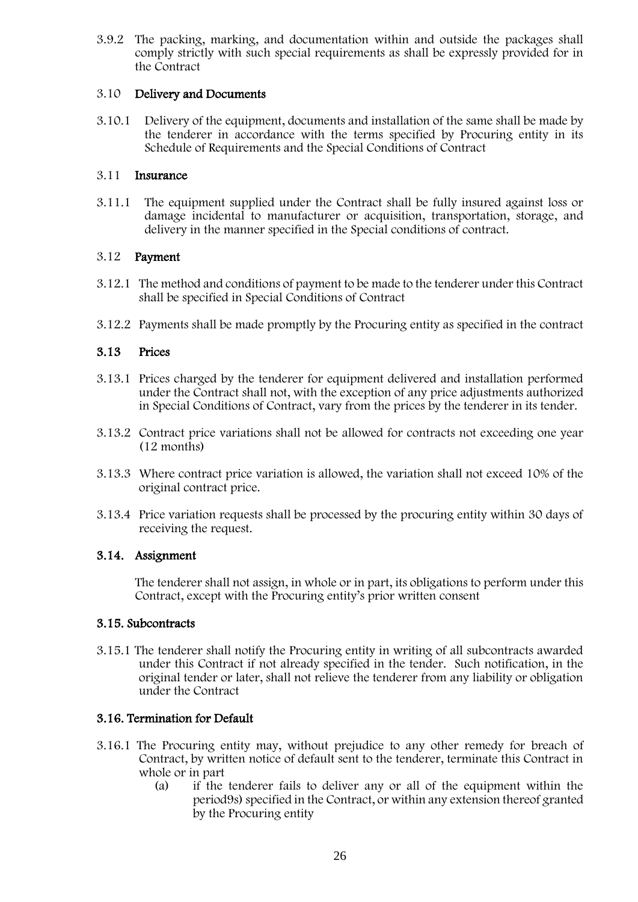3.9.2 The packing, marking, and documentation within and outside the packages shall comply strictly with such special requirements as shall be expressly provided for in the Contract

#### 3.10 Delivery and Documents

3.10.1 Delivery of the equipment, documents and installation of the same shall be made by the tenderer in accordance with the terms specified by Procuring entity in its Schedule of Requirements and the Special Conditions of Contract

#### 3.11 Insurance

3.11.1 The equipment supplied under the Contract shall be fully insured against loss or damage incidental to manufacturer or acquisition, transportation, storage, and delivery in the manner specified in the Special conditions of contract.

#### 3.12 Payment

- 3.12.1 The method and conditions of payment to be made to the tenderer under this Contract shall be specified in Special Conditions of Contract
- 3.12.2 Payments shall be made promptly by the Procuring entity as specified in the contract

### 3.13 Prices

- 3.13.1 Prices charged by the tenderer for equipment delivered and installation performed under the Contract shall not, with the exception of any price adjustments authorized in Special Conditions of Contract, vary from the prices by the tenderer in its tender.
- 3.13.2 Contract price variations shall not be allowed for contracts not exceeding one year (12 months)
- 3.13.3 Where contract price variation is allowed, the variation shall not exceed 10% of the original contract price.
- 3.13.4 Price variation requests shall be processed by the procuring entity within 30 days of receiving the request.

### 3.14. Assignment

The tenderer shall not assign, in whole or in part, its obligations to perform under this Contract, except with the Procuring entity's prior written consent

### 3.15. Subcontracts

3.15.1 The tenderer shall notify the Procuring entity in writing of all subcontracts awarded under this Contract if not already specified in the tender. Such notification, in the original tender or later, shall not relieve the tenderer from any liability or obligation under the Contract

### 3.16. Termination for Default

- 3.16.1 The Procuring entity may, without prejudice to any other remedy for breach of Contract, by written notice of default sent to the tenderer, terminate this Contract in whole or in part
	- (a) if the tenderer fails to deliver any or all of the equipment within the period9s) specified in the Contract, or within any extension thereof granted by the Procuring entity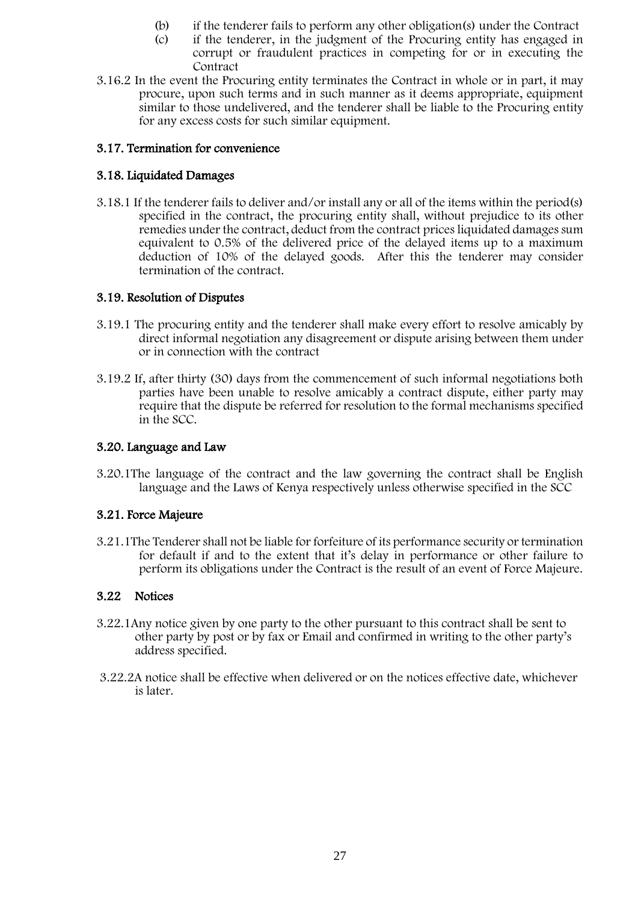- (b) if the tenderer fails to perform any other obligation(s) under the Contract
- (c) if the tenderer, in the judgment of the Procuring entity has engaged in corrupt or fraudulent practices in competing for or in executing the Contract
- 3.16.2 In the event the Procuring entity terminates the Contract in whole or in part, it may procure, upon such terms and in such manner as it deems appropriate, equipment similar to those undelivered, and the tenderer shall be liable to the Procuring entity for any excess costs for such similar equipment.

### 3.17. Termination for convenience

#### 3.18. Liquidated Damages

3.18.1 If the tenderer fails to deliver and/or install any or all of the items within the period(s) specified in the contract, the procuring entity shall, without prejudice to its other remedies under the contract, deduct from the contract prices liquidated damages sum equivalent to 0.5% of the delivered price of the delayed items up to a maximum deduction of 10% of the delayed goods. After this the tenderer may consider termination of the contract.

#### 3.19. Resolution of Disputes

- 3.19.1 The procuring entity and the tenderer shall make every effort to resolve amicably by direct informal negotiation any disagreement or dispute arising between them under or in connection with the contract
- 3.19.2 If, after thirty (30) days from the commencement of such informal negotiations both parties have been unable to resolve amicably a contract dispute, either party may require that the dispute be referred for resolution to the formal mechanisms specified in the SCC.

#### 3.20. Language and Law

3.20.1The language of the contract and the law governing the contract shall be English language and the Laws of Kenya respectively unless otherwise specified in the SCC

### 3.21. Force Majeure

3.21.1The Tenderer shall not be liable for forfeiture of its performance security or termination for default if and to the extent that it's delay in performance or other failure to perform its obligations under the Contract is the result of an event of Force Majeure.

#### 3.22 Notices

- 3.22.1Any notice given by one party to the other pursuant to this contract shall be sent to other party by post or by fax or Email and confirmed in writing to the other party's address specified.
- 3.22.2A notice shall be effective when delivered or on the notices effective date, whichever is later.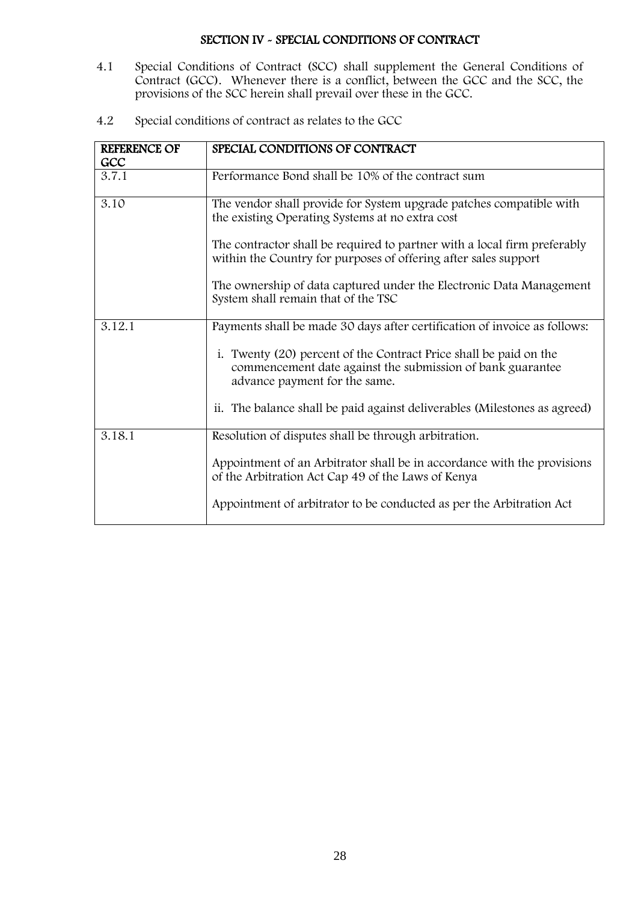#### SECTION IV - SPECIAL CONDITIONS OF CONTRACT

- <span id="page-27-0"></span> $4.1$ 4.1 Special Conditions of Contract (SCC) shall supplement the General Conditions of Contract (GCC). Whenever there is a conflict, between the GCC and the SCC, the provisions of the SCC herein shall prevail over these in the GCC.
- 4.2 Special conditions of contract as relates to the GCC

<span id="page-27-1"></span>

| <b>REFERENCE OF</b> | SPECIAL CONDITIONS OF CONTRACT                                                                                                                                   |
|---------------------|------------------------------------------------------------------------------------------------------------------------------------------------------------------|
| GCC                 |                                                                                                                                                                  |
| 3.7.1               | Performance Bond shall be 10% of the contract sum                                                                                                                |
| 3.10                | The vendor shall provide for System upgrade patches compatible with<br>the existing Operating Systems at no extra cost                                           |
|                     | The contractor shall be required to partner with a local firm preferably<br>within the Country for purposes of offering after sales support                      |
|                     | The ownership of data captured under the Electronic Data Management<br>System shall remain that of the TSC                                                       |
| 3.12.1              | Payments shall be made 30 days after certification of invoice as follows:                                                                                        |
|                     | i. Twenty (20) percent of the Contract Price shall be paid on the<br>commencement date against the submission of bank guarantee<br>advance payment for the same. |
|                     | ii. The balance shall be paid against deliverables (Milestones as agreed)                                                                                        |
| 3.18.1              | Resolution of disputes shall be through arbitration.                                                                                                             |
|                     | Appointment of an Arbitrator shall be in accordance with the provisions<br>of the Arbitration Act Cap 49 of the Laws of Kenya                                    |
|                     | Appointment of arbitrator to be conducted as per the Arbitration Act                                                                                             |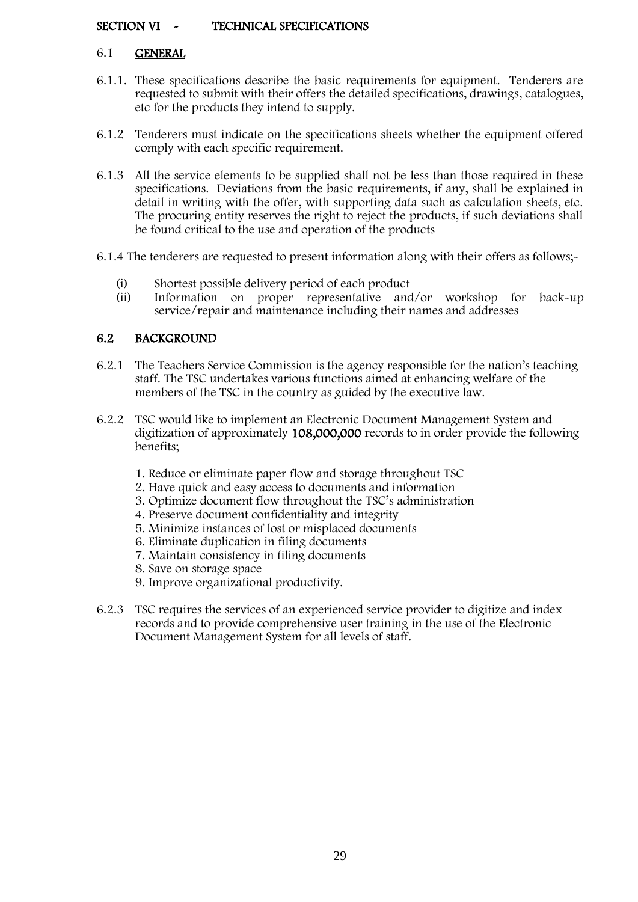#### SECTION VI ~ TECHNICAL SPECIFICATIONS

#### 6.1 GENERAL

- 6.1.1. These specifications describe the basic requirements for equipment. Tenderers are requested to submit with their offers the detailed specifications, drawings, catalogues, etc for the products they intend to supply.
- 6.1.2 Tenderers must indicate on the specifications sheets whether the equipment offered comply with each specific requirement.
- 6.1.3 All the service elements to be supplied shall not be less than those required in these specifications. Deviations from the basic requirements, if any, shall be explained in detail in writing with the offer, with supporting data such as calculation sheets, etc. The procuring entity reserves the right to reject the products, if such deviations shall be found critical to the use and operation of the products
- 6.1.4 The tenderers are requested to present information along with their offers as follows;-
	- (i) Shortest possible delivery period of each product
	- (ii) Information on proper representative and/or workshop for back-up service/repair and maintenance including their names and addresses

### 6.2 BACKGROUND

- 6.2.1 The Teachers Service Commission is the agency responsible for the nation's teaching staff. The TSC undertakes various functions aimed at enhancing welfare of the members of the TSC in the country as guided by the executive law.
- 6.2.2 TSC would like to implement an Electronic Document Management System and digitization of approximately 108,000,000 records to in order provide the following benefits;
	- 1. Reduce or eliminate paper flow and storage throughout TSC
	- 2. Have quick and easy access to documents and information
	- 3. Optimize document flow throughout the TSC's administration
	- 4. Preserve document confidentiality and integrity
	- 5. Minimize instances of lost or misplaced documents
	- 6. Eliminate duplication in filing documents
	- 7. Maintain consistency in filing documents
	- 8. Save on storage space
	- 9. Improve organizational productivity.
- 6.2.3 TSC requires the services of an experienced service provider to digitize and index records and to provide comprehensive user training in the use of the Electronic Document Management System for all levels of staff.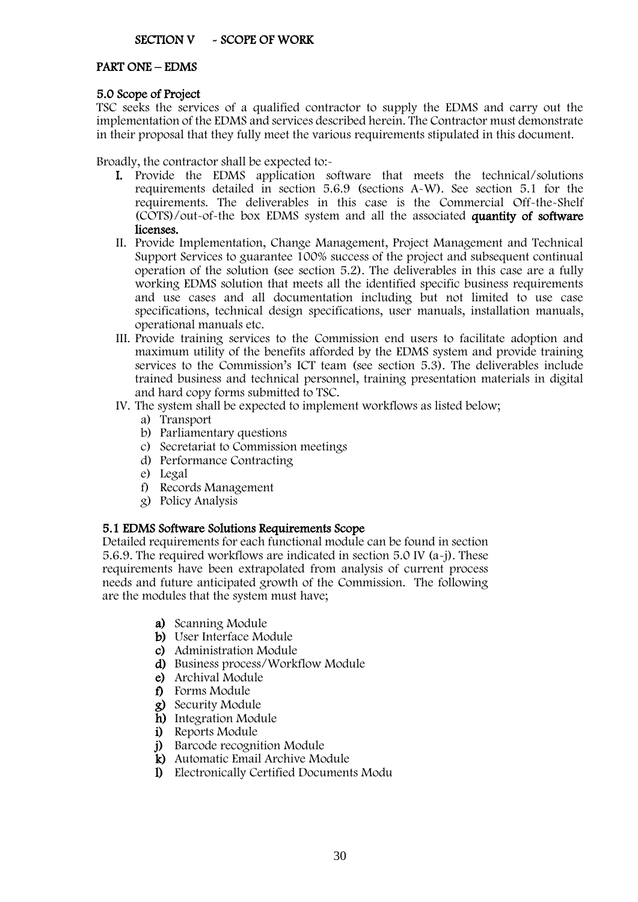#### PART ONE – EDMS

#### 5.0 Scope of Project

TSC seeks the services of a qualified contractor to supply the EDMS and carry out the implementation of the EDMS and services described herein. The Contractor must demonstrate in their proposal that they fully meet the various requirements stipulated in this document.

Broadly, the contractor shall be expected to:-

- I. Provide the EDMS application software that meets the technical/solutions requirements detailed in section 5.6.9 (sections A-W). See section 5.1 for the requirements. The deliverables in this case is the Commercial Off-the-Shelf (COTS)/out-of-the box EDMS system and all the associated quantity of software licenses.
- II. Provide Implementation, Change Management, Project Management and Technical Support Services to guarantee 100% success of the project and subsequent continual operation of the solution (see section 5.2). The deliverables in this case are a fully working EDMS solution that meets all the identified specific business requirements and use cases and all documentation including but not limited to use case specifications, technical design specifications, user manuals, installation manuals, operational manuals etc.
- III. Provide training services to the Commission end users to facilitate adoption and maximum utility of the benefits afforded by the EDMS system and provide training services to the Commission's ICT team (see section 5.3). The deliverables include trained business and technical personnel, training presentation materials in digital and hard copy forms submitted to TSC.
- IV. The system shall be expected to implement workflows as listed below;
	- a) Transport
	- b) Parliamentary questions
	- c) Secretariat to Commission meetings
	- d) Performance Contracting
	- e) Legal
	- f) Records Management
	- g) Policy Analysis

### 5.1 EDMS Software Solutions Requirements Scope

Detailed requirements for each functional module can be found in section 5.6.9. The required workflows are indicated in section 5.0 IV (a-j). These requirements have been extrapolated from analysis of current process needs and future anticipated growth of the Commission. The following are the modules that the system must have;

- a) Scanning Module
- b) User Interface Module
- c) Administration Module
- d) Business process/Workflow Module
- e) Archival Module
- f) Forms Module
- g) Security Module
- h) Integration Module
- i) Reports Module
- j) Barcode recognition Module
- k) Automatic Email Archive Module
- l) Electronically Certified Documents Modu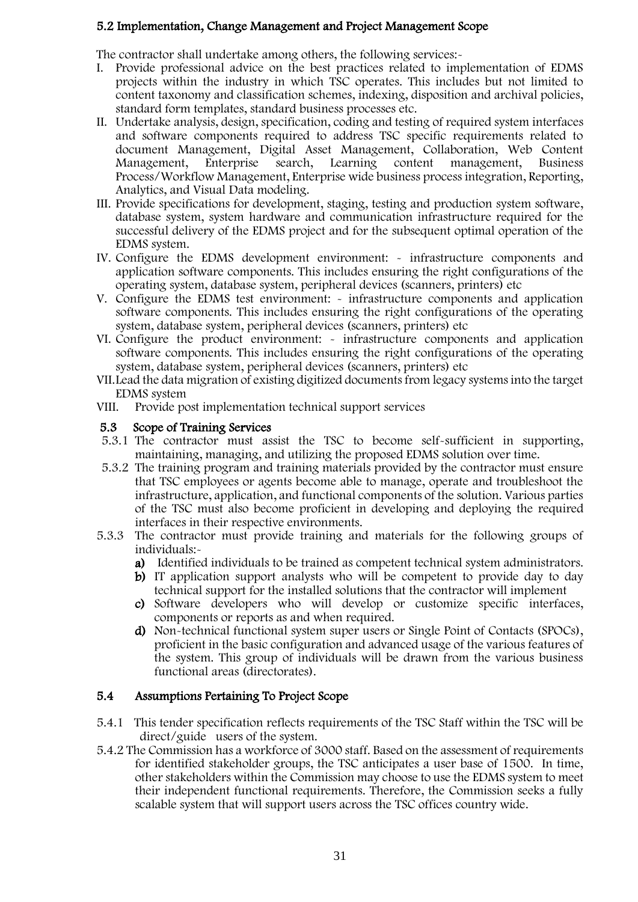#### 5.2 Implementation, Change Management and Project Management Scope

The contractor shall undertake among others, the following services:-

- I. Provide professional advice on the best practices related to implementation of EDMS projects within the industry in which TSC operates. This includes but not limited to content taxonomy and classification schemes, indexing, disposition and archival policies, standard form templates, standard business processes etc.
- II. Undertake analysis, design, specification, coding and testing of required system interfaces and software components required to address TSC specific requirements related to document Management, Digital Asset Management, Collaboration, Web Content Management, Enterprise search, Learning content management, Business Process/Workflow Management, Enterprise wide business process integration, Reporting, Analytics, and Visual Data modeling.
- III. Provide specifications for development, staging, testing and production system software, database system, system hardware and communication infrastructure required for the successful delivery of the EDMS project and for the subsequent optimal operation of the EDMS system.
- IV. Configure the EDMS development environment: infrastructure components and application software components. This includes ensuring the right configurations of the operating system, database system, peripheral devices (scanners, printers) etc
- V. Configure the EDMS test environment: infrastructure components and application software components. This includes ensuring the right configurations of the operating system, database system, peripheral devices (scanners, printers) etc
- VI. Configure the product environment: infrastructure components and application software components. This includes ensuring the right configurations of the operating system, database system, peripheral devices (scanners, printers) etc
- VII.Lead the data migration of existing digitized documents from legacy systems into the target EDMS system
- VIII. Provide post implementation technical support services

#### 5.3 Scope of Training Services

- 5.3.1 The contractor must assist the TSC to become self-sufficient in supporting, maintaining, managing, and utilizing the proposed EDMS solution over time.
- 5.3.2 The training program and training materials provided by the contractor must ensure that TSC employees or agents become able to manage, operate and troubleshoot the infrastructure, application, and functional components of the solution. Various parties of the TSC must also become proficient in developing and deploying the required interfaces in their respective environments.
- 5.3.3 The contractor must provide training and materials for the following groups of individuals:
	- a) Identified individuals to be trained as competent technical system administrators.
	- b) IT application support analysts who will be competent to provide day to day technical support for the installed solutions that the contractor will implement
	- c) Software developers who will develop or customize specific interfaces, components or reports as and when required.
	- d) Non-technical functional system super users or Single Point of Contacts (SPOCs), proficient in the basic configuration and advanced usage of the various features of the system. This group of individuals will be drawn from the various business functional areas (directorates).

#### 5.4 Assumptions Pertaining To Project Scope

- 5.4.1 This tender specification reflects requirements of the TSC Staff within the TSC will be direct/guide users of the system.
- 5.4.2 The Commission has a workforce of 3000 staff. Based on the assessment of requirements for identified stakeholder groups, the TSC anticipates a user base of 1500. In time, other stakeholders within the Commission may choose to use the EDMS system to meet their independent functional requirements. Therefore, the Commission seeks a fully scalable system that will support users across the TSC offices country wide.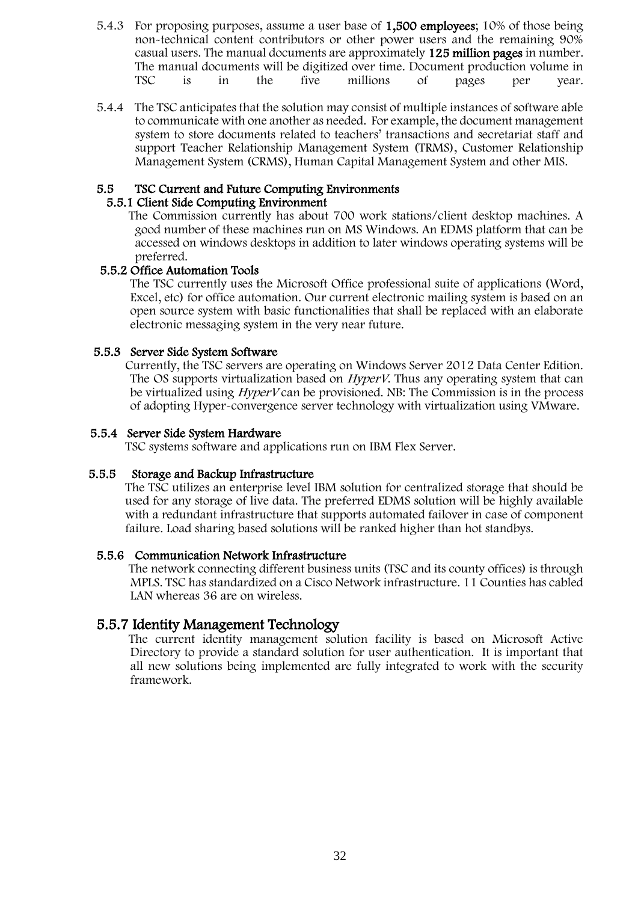- 5.4.3 For proposing purposes, assume a user base of 1,500 employees; 10% of those being non-technical content contributors or other power users and the remaining 90% casual users. The manual documents are approximately 125 million pages in number. The manual documents will be digitized over time. Document production volume in<br>TSC is in the five millions of pages per year. TSC is in the five millions of pages per year.
- 5.4.4 The TSC anticipates that the solution may consist of multiple instances of software able to communicate with one another as needed. For example, the document management system to store documents related to teachers' transactions and secretariat staff and support Teacher Relationship Management System (TRMS), Customer Relationship Management System (CRMS), Human Capital Management System and other MIS.

#### 5.5 TSC Current and Future Computing Environments

#### 5.5.1 Client Side Computing Environment

 The Commission currently has about 700 work stations/client desktop machines. A good number of these machines run on MS Windows. An EDMS platform that can be accessed on windows desktops in addition to later windows operating systems will be preferred.

#### 5.5.2 Office Automation Tools

The TSC currently uses the Microsoft Office professional suite of applications (Word, Excel, etc) for office automation. Our current electronic mailing system is based on an open source system with basic functionalities that shall be replaced with an elaborate electronic messaging system in the very near future.

#### 5.5.3 Server Side System Software

 Currently, the TSC servers are operating on Windows Server 2012 Data Center Edition. The OS supports virtualization based on *HyperV*. Thus any operating system that can be virtualized using HyperV can be provisioned. NB: The Commission is in the process of adopting Hyper-convergence server technology with virtualization using VMware.

#### 5.5.4 Server Side System Hardware

TSC systems software and applications run on IBM Flex Server.

#### 5.5.5 Storage and Backup Infrastructure

 The TSC utilizes an enterprise level IBM solution for centralized storage that should be used for any storage of live data. The preferred EDMS solution will be highly available with a redundant infrastructure that supports automated failover in case of component failure. Load sharing based solutions will be ranked higher than hot standbys.

#### 5.5.6 Communication Network Infrastructure

 The network connecting different business units (TSC and its county offices) is through MPLS. TSC has standardized on a Cisco Network infrastructure. 11 Counties has cabled LAN whereas 36 are on wireless.

### 5.5.7 Identity Management Technology

 The current identity management solution facility is based on Microsoft Active Directory to provide a standard solution for user authentication. It is important that all new solutions being implemented are fully integrated to work with the security framework.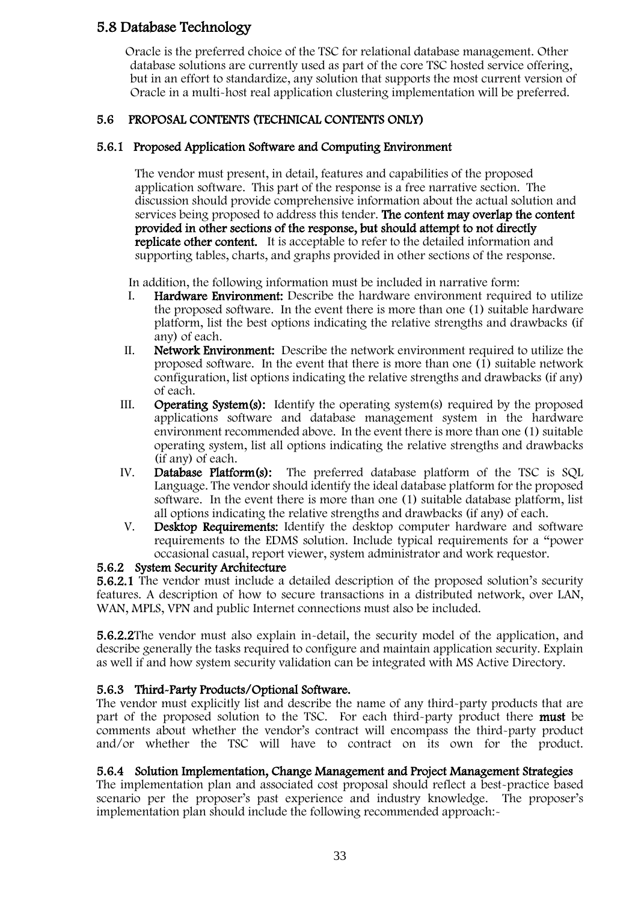## 5.8 Database Technology

 Oracle is the preferred choice of the TSC for relational database management. Other database solutions are currently used as part of the core TSC hosted service offering, but in an effort to standardize, any solution that supports the most current version of Oracle in a multi-host real application clustering implementation will be preferred.

## 5.6 PROPOSAL CONTENTS (TECHNICAL CONTENTS ONLY)

## 5.6.1 Proposed Application Software and Computing Environment

The vendor must present, in detail, features and capabilities of the proposed application software. This part of the response is a free narrative section. The discussion should provide comprehensive information about the actual solution and services being proposed to address this tender. The content may overlap the content provided in other sections of the response, but should attempt to not directly replicate other content. It is acceptable to refer to the detailed information and supporting tables, charts, and graphs provided in other sections of the response.

In addition, the following information must be included in narrative form:

- I. Hardware Environment: Describe the hardware environment required to utilize the proposed software. In the event there is more than one (1) suitable hardware platform, list the best options indicating the relative strengths and drawbacks (if any) of each.
- II. Network Environment: Describe the network environment required to utilize the proposed software. In the event that there is more than one (1) suitable network configuration, list options indicating the relative strengths and drawbacks (if any) of each.
- III. Operating System(s): Identify the operating system(s) required by the proposed applications software and database management system in the hardware environment recommended above. In the event there is more than one (1) suitable operating system, list all options indicating the relative strengths and drawbacks (if any) of each.
- IV. Database Platform(s): The preferred database platform of the TSC is SQL Language. The vendor should identify the ideal database platform for the proposed software. In the event there is more than one (1) suitable database platform, list all options indicating the relative strengths and drawbacks (if any) of each.
- V. Desktop Requirements: Identify the desktop computer hardware and software requirements to the EDMS solution. Include typical requirements for a "power occasional casual, report viewer, system administrator and work requestor.

### 5.6.2 System Security Architecture

5.6.2.1 The vendor must include a detailed description of the proposed solution's security features. A description of how to secure transactions in a distributed network, over LAN, WAN, MPLS, VPN and public Internet connections must also be included.

5.6.2.2The vendor must also explain in-detail, the security model of the application, and describe generally the tasks required to configure and maintain application security. Explain as well if and how system security validation can be integrated with MS Active Directory.

### 5.6.3 Third-Party Products/Optional Software.

The vendor must explicitly list and describe the name of any third-party products that are part of the proposed solution to the TSC. For each third-party product there must be comments about whether the vendor's contract will encompass the third-party product and/or whether the TSC will have to contract on its own for the product.

#### 5.6.4 Solution Implementation, Change Management and Project Management Strategies

The implementation plan and associated cost proposal should reflect a best-practice based scenario per the proposer's past experience and industry knowledge. The proposer's implementation plan should include the following recommended approach:-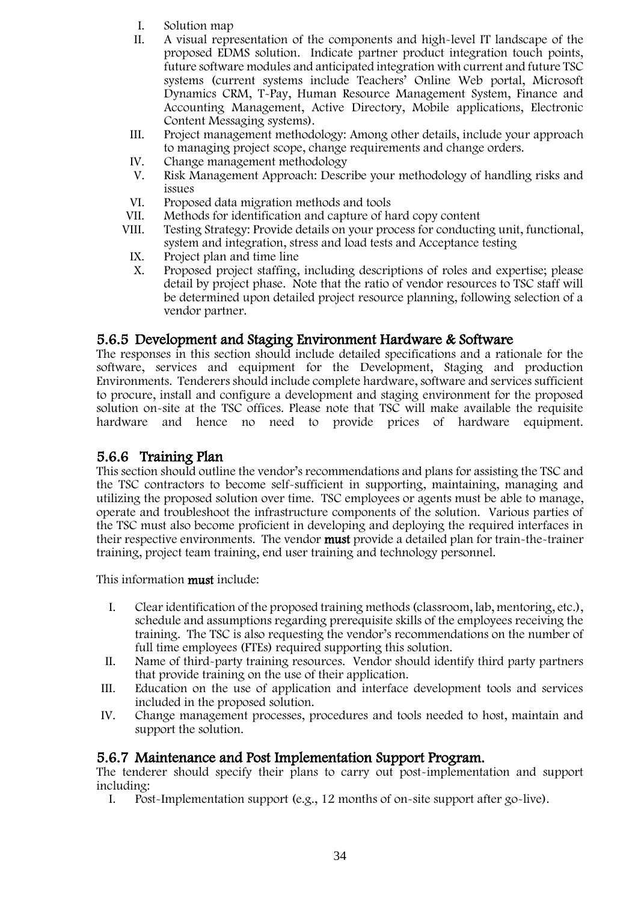- I. Solution map
- II. A visual representation of the components and high-level IT landscape of the proposed EDMS solution. Indicate partner product integration touch points, future software modules and anticipated integration with current and future TSC systems (current systems include Teachers' Online Web portal, Microsoft Dynamics CRM, T-Pay, Human Resource Management System, Finance and Accounting Management, Active Directory, Mobile applications, Electronic Content Messaging systems).
- III. Project management methodology: Among other details, include your approach to managing project scope, change requirements and change orders.
- IV. Change management methodology<br>V. Risk Management Approach: Descr
- Risk Management Approach: Describe your methodology of handling risks and issues
- VI. Proposed data migration methods and tools
- VII. Methods for identification and capture of hard copy content
- VIII. Testing Strategy: Provide details on your process for conducting unit, functional, system and integration, stress and load tests and Acceptance testing
	- IX. Project plan and time line
	- X. Proposed project staffing, including descriptions of roles and expertise; please detail by project phase. Note that the ratio of vendor resources to TSC staff will be determined upon detailed project resource planning, following selection of a vendor partner.

### 5.6.5 Development and Staging Environment Hardware & Software

The responses in this section should include detailed specifications and a rationale for the software, services and equipment for the Development, Staging and production Environments. Tenderers should include complete hardware, software and services sufficient to procure, install and configure a development and staging environment for the proposed solution on-site at the TSC offices. Please note that TSC will make available the requisite hardware and hence no need to provide prices of hardware equipment.

## 5.6.6 Training Plan

This section should outline the vendor's recommendations and plans for assisting the TSC and the TSC contractors to become self-sufficient in supporting, maintaining, managing and utilizing the proposed solution over time. TSC employees or agents must be able to manage, operate and troubleshoot the infrastructure components of the solution. Various parties of the TSC must also become proficient in developing and deploying the required interfaces in their respective environments. The vendor must provide a detailed plan for train-the-trainer training, project team training, end user training and technology personnel.

This information must include:

- I. Clear identification of the proposed training methods (classroom, lab, mentoring, etc.), schedule and assumptions regarding prerequisite skills of the employees receiving the training. The TSC is also requesting the vendor's recommendations on the number of full time employees (FTEs) required supporting this solution.
- II. Name of third-party training resources. Vendor should identify third party partners that provide training on the use of their application.
- III. Education on the use of application and interface development tools and services included in the proposed solution.
- IV. Change management processes, procedures and tools needed to host, maintain and support the solution.

### 5.6.7 Maintenance and Post Implementation Support Program.

The tenderer should specify their plans to carry out post-implementation and support including:

I. Post-Implementation support (e.g., 12 months of on-site support after go-live).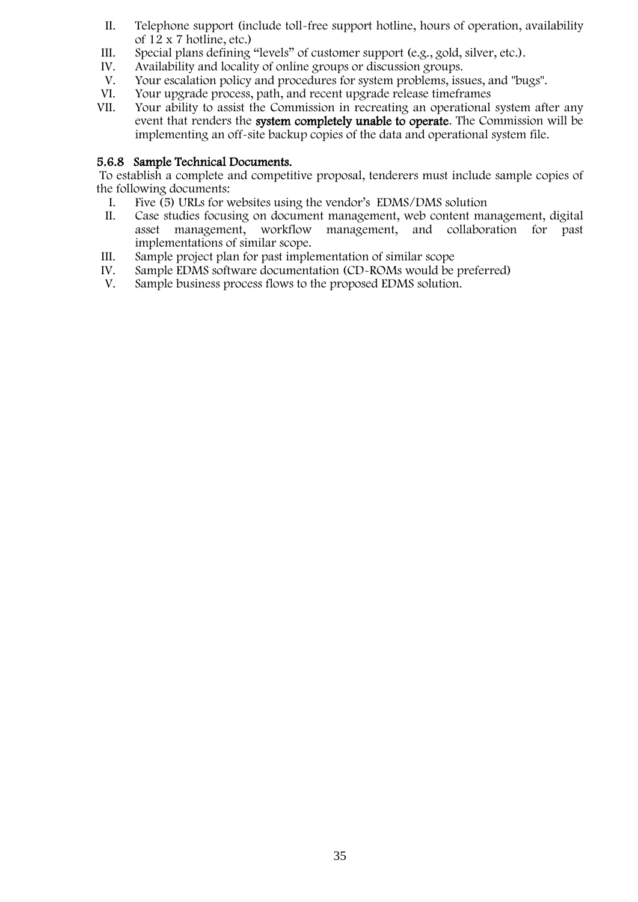- II. Telephone support (include toll-free support hotline, hours of operation, availability of 12 x 7 hotline, etc.)
- III. Special plans defining "levels" of customer support (e.g., gold, silver, etc.).<br>IV. Availability and locality of online groups or discussion groups.
- IV. Availability and locality of online groups or discussion groups.<br>V. Your escalation policy and procedures for system problems, iss
- Your escalation policy and procedures for system problems, issues, and "bugs".
- VI. Your upgrade process, path, and recent upgrade release timeframes
- VII. Your ability to assist the Commission in recreating an operational system after any event that renders the system completely unable to operate. The Commission will be implementing an off-site backup copies of the data and operational system file.

#### 5.6.8 Sample Technical Documents.

To establish a complete and competitive proposal, tenderers must include sample copies of the following documents:

- I. Five (5) URLs for websites using the vendor's EDMS/DMS solution
- II. Case studies focusing on document management, web content management, digital asset management, workflow management, and collaboration for past implementations of similar scope.
- III. Sample project plan for past implementation of similar scope<br>IV. Sample EDMS software documentation (CD-ROMs would be
- IV. Sample EDMS software documentation (CD-ROMs would be preferred)<br>V. Sample business process flows to the proposed EDMS solution.
- Sample business process flows to the proposed EDMS solution.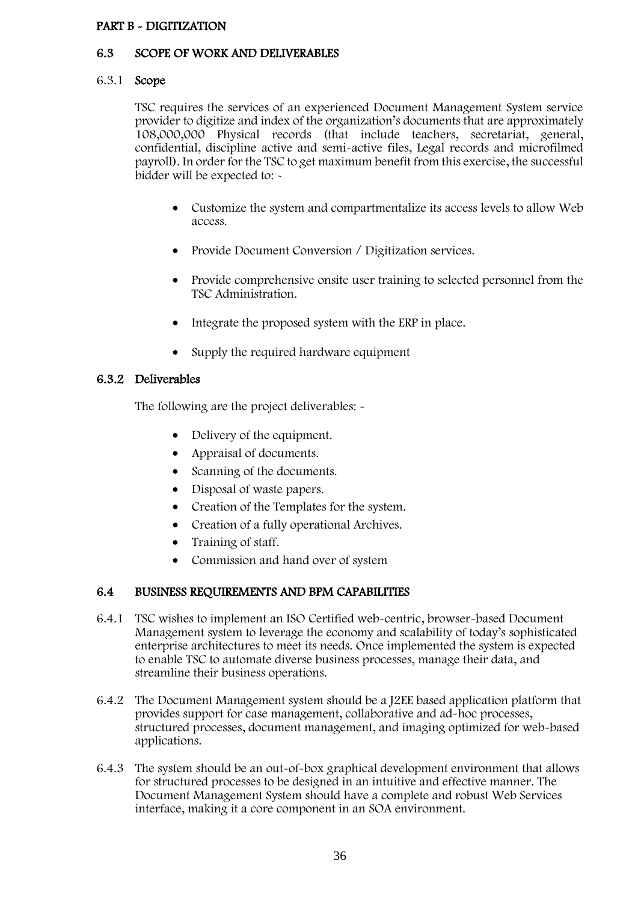#### <span id="page-35-0"></span>PART B - DIGITIZATION

#### 6.3 SCOPE OF WORK AND DELIVERABLES

#### 6.3.1 Scope

TSC requires the services of an experienced Document Management System service provider to digitize and index of the organization's documents that are approximately 108,000,000 Physical records (that include teachers, secretariat, general, confidential, discipline active and semi-active files, Legal records and microfilmed payroll). In order for the TSC to get maximum benefit from this exercise, the successful bidder will be expected to: -

- Customize the system and compartmentalize its access levels to allow Web access.
- Provide Document Conversion / Digitization services.
- Provide comprehensive onsite user training to selected personnel from the TSC Administration.
- Integrate the proposed system with the ERP in place.
- Supply the required hardware equipment

#### 6.3.2 Deliverables

The following are the project deliverables: -

- Delivery of the equipment.
- Appraisal of documents.
- Scanning of the documents.
- Disposal of waste papers.
- Creation of the Templates for the system.
- Creation of a fully operational Archives.
- Training of staff.
- Commission and hand over of system

#### 6.4 BUSINESS REQUIREMENTS AND BPM CAPABILITIES

- 6.4.1 TSC wishes to implement an ISO Certified web-centric, browser-based Document Management system to leverage the economy and scalability of today's sophisticated enterprise architectures to meet its needs. Once implemented the system is expected to enable TSC to automate diverse business processes, manage their data, and streamline their business operations.
- 6.4.2 The Document Management system should be a J2EE based application platform that provides support for case management, collaborative and ad-hoc processes, structured processes, document management, and imaging optimized for web-based applications.
- 6.4.3 The system should be an out-of-box graphical development environment that allows for structured processes to be designed in an intuitive and effective manner. The Document Management System should have a complete and robust Web Services interface, making it a core component in an SOA environment.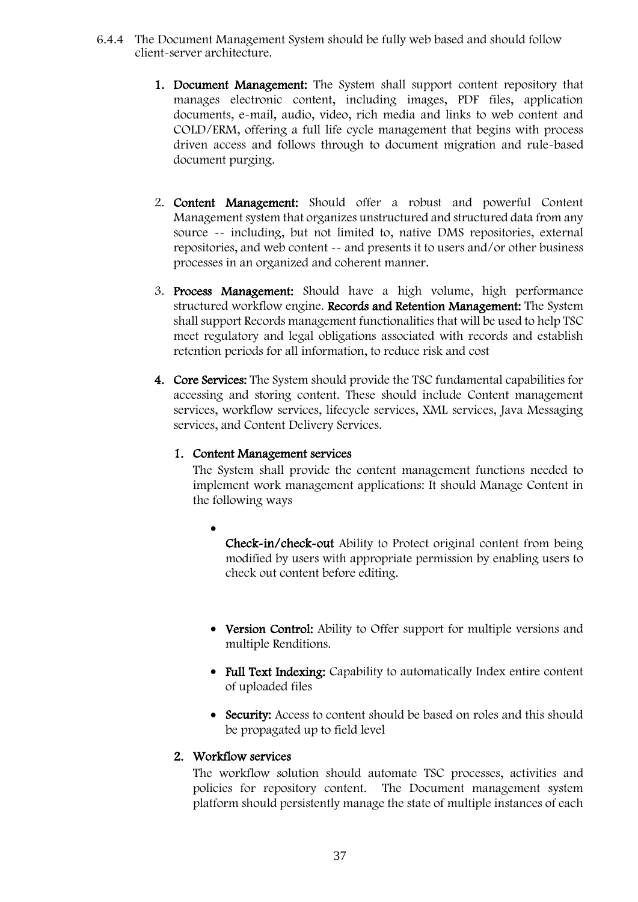- 6.4.4 The Document Management System should be fully web based and should follow client-server architecture.
	- 1. Document Management: The System shall support content repository that manages electronic content, including images, PDF files, application documents, e-mail, audio, video, rich media and links to web content and COLD/ERM, offering a full life cycle management that begins with process driven access and follows through to document migration and rule-based document purging.
	- 2. Content Management: Should offer a robust and powerful Content Management system that organizes unstructured and structured data from any source -- including, but not limited to, native DMS repositories, external repositories, and web content -- and presents it to users and/or other business processes in an organized and coherent manner.
	- 3. Process Management: Should have a high volume, high performance structured workflow engine. Records and Retention Management: The System shall support Records management functionalities that will be used to help TSC meet regulatory and legal obligations associated with records and establish retention periods for all information, to reduce risk and cost
	- 4. Core Services: The System should provide the TSC fundamental capabilities for accessing and storing content. These should include Content management services, workflow services, lifecycle services, XML services, Java Messaging services, and Content Delivery Services.

#### 1. Content Management services

The System shall provide the content management functions needed to implement work management applications: It should Manage Content in the following ways

- $\bullet$ Check-in/check-out Ability to Protect original content from being modified by users with appropriate permission by enabling users to check out content before editing.
- Version Control: Ability to Offer support for multiple versions and multiple Renditions.
- Full Text Indexing: Capability to automatically Index entire content of uploaded files
- Security: Access to content should be based on roles and this should be propagated up to field level

#### 2. Workflow services

The workflow solution should automate TSC processes, activities and policies for repository content. The Document management system platform should persistently manage the state of multiple instances of each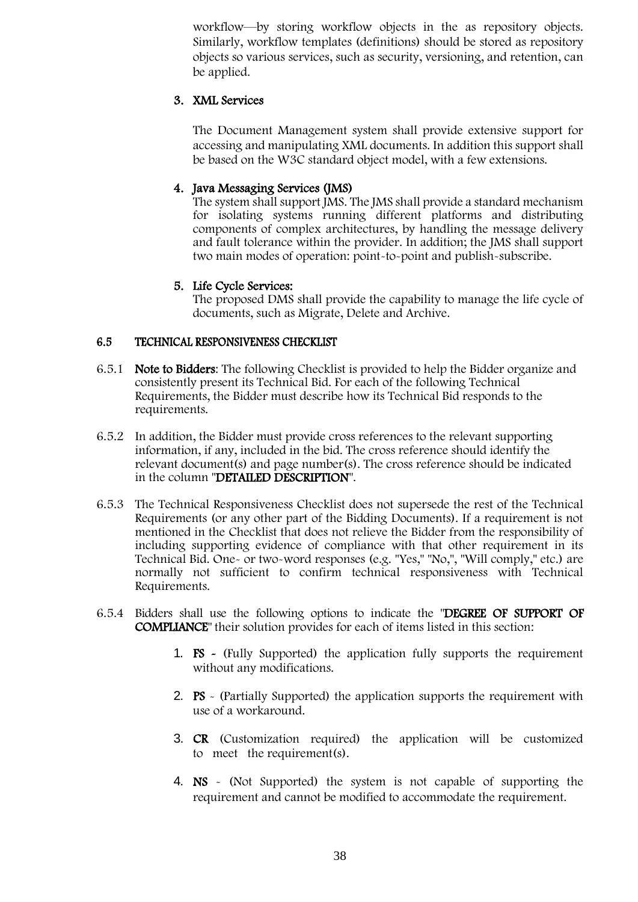workflow—by storing workflow objects in the as repository objects. Similarly, workflow templates (definitions) should be stored as repository objects so various services, such as security, versioning, and retention, can be applied.

### 3. XML Services

The Document Management system shall provide extensive support for accessing and manipulating XML documents. In addition this support shall be based on the W3C standard object model, with a few extensions.

#### 4. Java Messaging Services (JMS)

The system shall support JMS. The JMS shall provide a standard mechanism for isolating systems running different platforms and distributing components of complex architectures, by handling the message delivery and fault tolerance within the provider. In addition; the JMS shall support two main modes of operation: point-to-point and publish-subscribe.

#### 5. Life Cycle Services:

The proposed DMS shall provide the capability to manage the life cycle of documents, such as Migrate, Delete and Archive.

#### 6.5 TECHNICAL RESPONSIVENESS CHECKLIST

- 6.5.1 Note to Bidders: The following Checklist is provided to help the Bidder organize and consistently present its Technical Bid. For each of the following Technical Requirements, the Bidder must describe how its Technical Bid responds to the requirements.
- 6.5.2 In addition, the Bidder must provide cross references to the relevant supporting information, if any, included in the bid. The cross reference should identify the relevant document(s) and page number(s). The cross reference should be indicated in the column "DETAILED DESCRIPTION".
- 6.5.3 The Technical Responsiveness Checklist does not supersede the rest of the Technical Requirements (or any other part of the Bidding Documents). If a requirement is not mentioned in the Checklist that does not relieve the Bidder from the responsibility of including supporting evidence of compliance with that other requirement in its Technical Bid. One- or two-word responses (e.g. "Yes," "No,", "Will comply," etc.) are normally not sufficient to confirm technical responsiveness with Technical Requirements.
- 6.5.4 Bidders shall use the following options to indicate the "DEGREE OF SUPPORT OF COMPLIANCE" their solution provides for each of items listed in this section:
	- 1. FS (Fully Supported) the application fully supports the requirement without any modifications.
	- 2. PS (Partially Supported) the application supports the requirement with use of a workaround.
	- 3. CR (Customization required) the application will be customized to meet the requirement(s).
	- 4. NS (Not Supported) the system is not capable of supporting the requirement and cannot be modified to accommodate the requirement.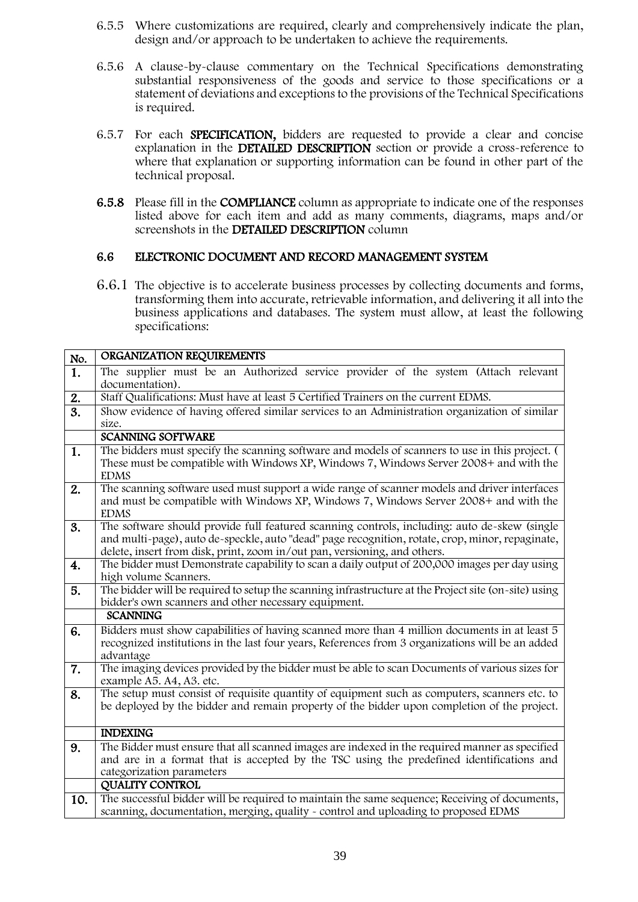- 6.5.5 Where customizations are required, clearly and comprehensively indicate the plan, design and/or approach to be undertaken to achieve the requirements.
- 6.5.6 A clause-by-clause commentary on the Technical Specifications demonstrating substantial responsiveness of the goods and service to those specifications or a statement of deviations and exceptions to the provisions of the Technical Specifications is required.
- 6.5.7 For each SPECIFICATION, bidders are requested to provide a clear and concise explanation in the DETAILED DESCRIPTION section or provide a cross-reference to where that explanation or supporting information can be found in other part of the technical proposal.
- 6.5.8 Please fill in the COMPLIANCE column as appropriate to indicate one of the responses listed above for each item and add as many comments, diagrams, maps and/or screenshots in the DETAILED DESCRIPTION column

#### 6.6 ELECTRONIC DOCUMENT AND RECORD MANAGEMENT SYSTEM

6.6.1 The objective is to accelerate business processes by collecting documents and forms, transforming them into accurate, retrievable information, and delivering it all into the business applications and databases. The system must allow, at least the following specifications:

| No.              | ORGANIZATION REQUIREMENTS                                                                                                                                                                                                                                                     |
|------------------|-------------------------------------------------------------------------------------------------------------------------------------------------------------------------------------------------------------------------------------------------------------------------------|
| 1.               | The supplier must be an Authorized service provider of the system (Attach relevant<br>documentation).                                                                                                                                                                         |
| 2.               | Staff Qualifications: Must have at least 5 Certified Trainers on the current EDMS.                                                                                                                                                                                            |
| $\overline{3}$ . | Show evidence of having offered similar services to an Administration organization of similar<br>size.                                                                                                                                                                        |
|                  | <b>SCANNING SOFTWARE</b>                                                                                                                                                                                                                                                      |
| 1.               | The bidders must specify the scanning software and models of scanners to use in this project. (<br>These must be compatible with Windows XP, Windows 7, Windows Server 2008+ and with the<br><b>EDMS</b>                                                                      |
| 2.               | The scanning software used must support a wide range of scanner models and driver interfaces<br>and must be compatible with Windows XP, Windows 7, Windows Server 2008+ and with the<br><b>EDMS</b>                                                                           |
| 3.               | The software should provide full featured scanning controls, including: auto de-skew (single<br>and multi-page), auto de-speckle, auto "dead" page recognition, rotate, crop, minor, repaginate,<br>delete, insert from disk, print, zoom in/out pan, versioning, and others. |
| 4.               | The bidder must Demonstrate capability to scan a daily output of 200,000 images per day using<br>high volume Scanners.                                                                                                                                                        |
| 5.               | The bidder will be required to setup the scanning infrastructure at the Project site (on-site) using<br>bidder's own scanners and other necessary equipment.                                                                                                                  |
|                  | <b>SCANNING</b>                                                                                                                                                                                                                                                               |
| 6.               | Bidders must show capabilities of having scanned more than 4 million documents in at least 5<br>recognized institutions in the last four years, References from 3 organizations will be an added<br>advantage                                                                 |
| 7.               | The imaging devices provided by the bidder must be able to scan Documents of various sizes for<br>example A5. A4, A3. etc.                                                                                                                                                    |
| 8.               | The setup must consist of requisite quantity of equipment such as computers, scanners etc. to<br>be deployed by the bidder and remain property of the bidder upon completion of the project.                                                                                  |
|                  | <b>INDEXING</b>                                                                                                                                                                                                                                                               |
| 9.               | The Bidder must ensure that all scanned images are indexed in the required manner as specified<br>and are in a format that is accepted by the TSC using the predefined identifications and<br>categorization parameters                                                       |
|                  | <b>QUALITY CONTROL</b>                                                                                                                                                                                                                                                        |
| 10.              | The successful bidder will be required to maintain the same sequence; Receiving of documents,<br>scanning, documentation, merging, quality - control and uploading to proposed EDMS                                                                                           |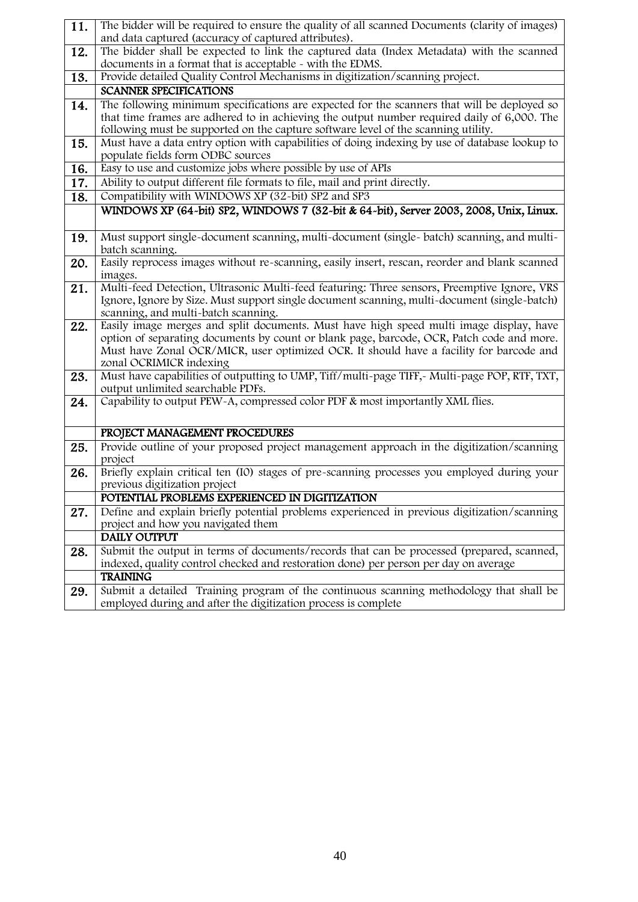| 11. | The bidder will be required to ensure the quality of all scanned Documents (clarity of images)                                                                                                                                                                                                             |
|-----|------------------------------------------------------------------------------------------------------------------------------------------------------------------------------------------------------------------------------------------------------------------------------------------------------------|
|     | and data captured (accuracy of captured attributes).                                                                                                                                                                                                                                                       |
| 12. | The bidder shall be expected to link the captured data (Index Metadata) with the scanned                                                                                                                                                                                                                   |
|     | documents in a format that is acceptable - with the EDMS.                                                                                                                                                                                                                                                  |
| 13. | Provide detailed Quality Control Mechanisms in digitization/scanning project.                                                                                                                                                                                                                              |
|     | <b>SCANNER SPECIFICATIONS</b>                                                                                                                                                                                                                                                                              |
| 14. | The following minimum specifications are expected for the scanners that will be deployed so<br>that time frames are adhered to in achieving the output number required daily of 6,000. The<br>following must be supported on the capture software level of the scanning utility.                           |
| 15. | Must have a data entry option with capabilities of doing indexing by use of database lookup to<br>populate fields form ODBC sources                                                                                                                                                                        |
| 16. | Easy to use and customize jobs where possible by use of APIs                                                                                                                                                                                                                                               |
| 17. | Ability to output different file formats to file, mail and print directly.                                                                                                                                                                                                                                 |
| 18. | Compatibility with WINDOWS XP (32-bit) SP2 and SP3                                                                                                                                                                                                                                                         |
|     | WINDOWS XP (64-bit) SP2, WINDOWS 7 (32-bit & 64-bit), Server 2003, 2008, Unix, Linux.                                                                                                                                                                                                                      |
|     |                                                                                                                                                                                                                                                                                                            |
| 19. | Must support single-document scanning, multi-document (single- batch) scanning, and multi-<br>batch scanning.                                                                                                                                                                                              |
| 20. | Easily reprocess images without re-scanning, easily insert, rescan, reorder and blank scanned<br>images.                                                                                                                                                                                                   |
| 21. | Multi-feed Detection, Ultrasonic Multi-feed featuring: Three sensors, Preemptive Ignore, VRS<br>Ignore, Ignore by Size. Must support single document scanning, multi-document (single-batch)<br>scanning, and multi-batch scanning.                                                                        |
| 22. | Easily image merges and split documents. Must have high speed multi image display, have<br>option of separating documents by count or blank page, barcode, OCR, Patch code and more.<br>Must have Zonal OCR/MICR, user optimized OCR. It should have a facility for barcode and<br>zonal OCRIMICR indexing |
| 23. | Must have capabilities of outputting to UMP, Tiff/multi-page TIFF,- Multi-page POP, RTF, TXT,<br>output unlimited searchable PDFs.                                                                                                                                                                         |
| 24. | Capability to output PEW-A, compressed color PDF & most importantly XML flies.                                                                                                                                                                                                                             |
|     |                                                                                                                                                                                                                                                                                                            |
|     | PROJECT MANAGEMENT PROCEDURES                                                                                                                                                                                                                                                                              |
| 25. | Provide outline of your proposed project management approach in the digitization/scanning<br>project                                                                                                                                                                                                       |
| 26. | Briefly explain critical ten (I0) stages of pre-scanning processes you employed during your                                                                                                                                                                                                                |
|     | previous digitization project                                                                                                                                                                                                                                                                              |
|     | POTENTIAL PROBLEMS EXPERIENCED IN DIGITIZATION                                                                                                                                                                                                                                                             |
| 27. | Define and explain briefly potential problems experienced in previous digitization/scanning                                                                                                                                                                                                                |
|     | project and how you navigated them                                                                                                                                                                                                                                                                         |
|     | <b>DAILY OUTPUT</b>                                                                                                                                                                                                                                                                                        |
| 28. | Submit the output in terms of documents/records that can be processed (prepared, scanned,                                                                                                                                                                                                                  |
|     | indexed, quality control checked and restoration done) per person per day on average                                                                                                                                                                                                                       |
|     | <b>TRAINING</b>                                                                                                                                                                                                                                                                                            |
| 29. | Submit a detailed Training program of the continuous scanning methodology that shall be<br>employed during and after the digitization process is complete                                                                                                                                                  |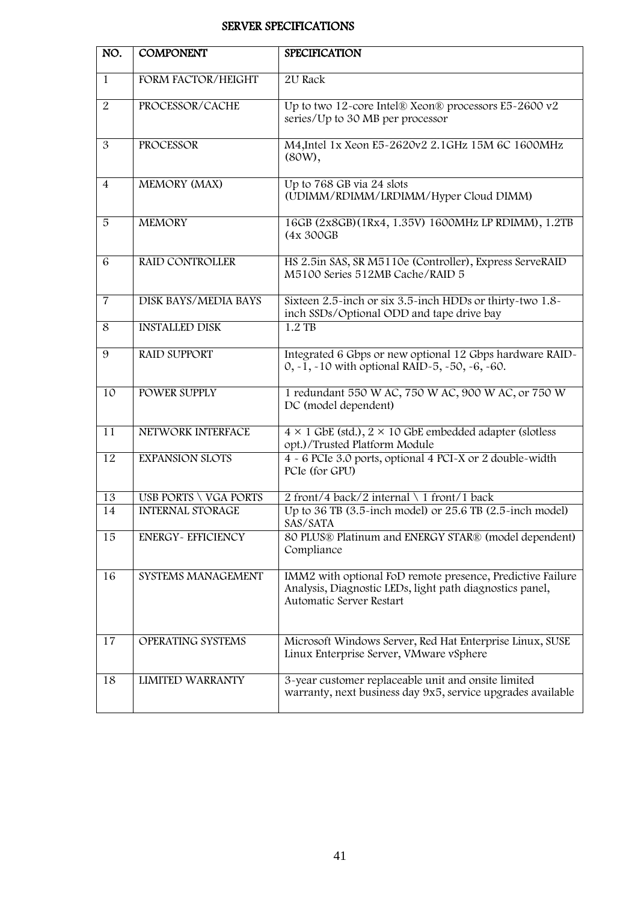## SERVER SPECIFICATIONS

| NO.             | <b>COMPONENT</b>            | <b>SPECIFICATION</b>                                                                                                                               |
|-----------------|-----------------------------|----------------------------------------------------------------------------------------------------------------------------------------------------|
| 1               | FORM FACTOR/HEIGHT          | 2U Rack                                                                                                                                            |
| 2               | PROCESSOR/CACHE             | Up to two 12-core Intel® Xeon® processors E5-2600 v2<br>series/Up to 30 MB per processor                                                           |
| 3               | PROCESSOR                   | M4, Intel 1x Xeon E5~2620v2 2.1GHz 15M 6C 1600MHz<br>$(80W)$ ,                                                                                     |
| $\overline{4}$  | MEMORY (MAX)                | Up to 768 GB via 24 slots<br>(UDIMM/RDIMM/LRDIMM/Hyper Cloud DIMM)                                                                                 |
| 5               | <b>MEMORY</b>               | 16GB (2x8GB)(1Rx4, 1.35V) 1600MHz LP RDIMM), 1.2TB<br>(4x 300GB)                                                                                   |
| 6               | <b>RAID CONTROLLER</b>      | HS 2.5in SAS, SR M5110e (Controller), Express ServeRAID<br>M5100 Series 512MB Cache/RAID 5                                                         |
| $\overline{7}$  | <b>DISK BAYS/MEDIA BAYS</b> | Sixteen 2.5-inch or six 3.5-inch HDDs or thirty-two 1.8-<br>inch SSDs/Optional ODD and tape drive bay                                              |
| 8               | <b>INSTALLED DISK</b>       | $1.2$ TB                                                                                                                                           |
| 9               | <b>RAID SUPPORT</b>         | Integrated 6 Gbps or new optional 12 Gbps hardware RAID-<br>0, $-1$ , $-10$ with optional RAID $-5$ , $-50$ , $-6$ , $-60$ .                       |
| 10              | POWER SUPPLY                | 1 redundant 550 W AC, 750 W AC, 900 W AC, or 750 W<br>DC (model dependent)                                                                         |
| 11              | NETWORK INTERFACE           | $4 \times 1$ GbE (std.), $2 \times 10$ GbE embedded adapter (slotless<br>opt.)/Trusted Platform Module                                             |
| $\overline{12}$ | <b>EXPANSION SLOTS</b>      | 4 - 6 PCIe 3.0 ports, optional 4 PCI-X or 2 double-width<br>PCIe (for GPU)                                                                         |
| 13              | USB PORTS \ VGA PORTS       | 2 front/4 back/2 internal \ 1 front/1 back                                                                                                         |
| 14              | <b>INTERNAL STORAGE</b>     | Up to 36 TB $(3.5\text{-inch model})$ or 25.6 TB $(2.5\text{-inch model})$<br>SAS/SATA                                                             |
| 15              | <b>ENERGY- EFFICIENCY</b>   | 80 PLUS® Platinum and ENERGY STAR® (model dependent)<br>Compliance                                                                                 |
| 16              | SYSTEMS MANAGEMENT          | IMM2 with optional FoD remote presence, Predictive Failure<br>Analysis, Diagnostic LEDs, light path diagnostics panel,<br>Automatic Server Restart |
| 17              | OPERATING SYSTEMS           | Microsoft Windows Server, Red Hat Enterprise Linux, SUSE<br>Linux Enterprise Server, VMware vSphere                                                |
| 18              | <b>LIMITED WARRANTY</b>     | 3-year customer replaceable unit and onsite limited<br>warranty, next business day 9x5, service upgrades available                                 |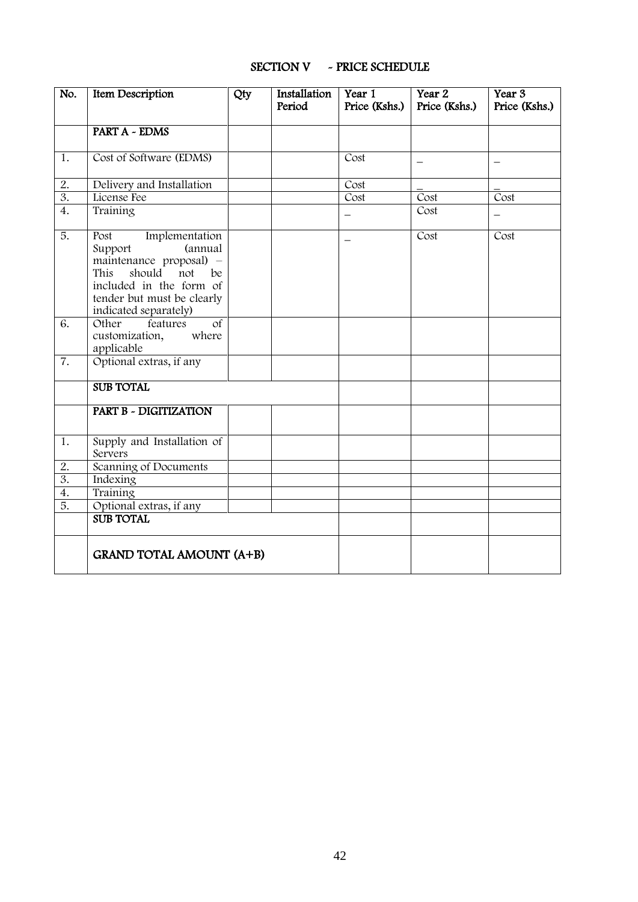| No.              | <b>Item Description</b>                                                                                                                                                                  | Qty | Installation<br>Period | Year 1<br>Price (Kshs.) | Year 2<br>Price (Kshs.) | Year 3<br>Price (Kshs.)  |
|------------------|------------------------------------------------------------------------------------------------------------------------------------------------------------------------------------------|-----|------------------------|-------------------------|-------------------------|--------------------------|
|                  |                                                                                                                                                                                          |     |                        |                         |                         |                          |
|                  | <b>PART A - EDMS</b>                                                                                                                                                                     |     |                        |                         |                         |                          |
| 1.               | Cost of Software (EDMS)                                                                                                                                                                  |     |                        | Cost                    |                         |                          |
| 2.               | Delivery and Installation                                                                                                                                                                |     |                        | Cost                    |                         |                          |
| 3.               | License Fee                                                                                                                                                                              |     |                        | Cost                    | Cost                    | Cost                     |
| 4.               | Training                                                                                                                                                                                 |     |                        |                         | Cost                    | $\overline{\phantom{0}}$ |
| $\overline{5}$ . | Post<br>Implementation<br>(annual<br>Support<br>maintenance proposal) -<br>This<br>should<br>not<br>be<br>included in the form of<br>tender but must be clearly<br>indicated separately) |     |                        |                         | Cost                    | Cost                     |
| 6.               | $\overline{of}$<br>Other<br>features<br>customization,<br>where<br>applicable                                                                                                            |     |                        |                         |                         |                          |
| 7.               | Optional extras, if any                                                                                                                                                                  |     |                        |                         |                         |                          |
|                  | <b>SUB TOTAL</b>                                                                                                                                                                         |     |                        |                         |                         |                          |
|                  | PART B - DIGITIZATION                                                                                                                                                                    |     |                        |                         |                         |                          |
| 1.               | Supply and Installation of<br>Servers                                                                                                                                                    |     |                        |                         |                         |                          |
| 2.               | Scanning of Documents                                                                                                                                                                    |     |                        |                         |                         |                          |
| 3.               | Indexing                                                                                                                                                                                 |     |                        |                         |                         |                          |
| $\overline{4}$ . | Training                                                                                                                                                                                 |     |                        |                         |                         |                          |
| $\overline{5}$ . | Optional extras, if any                                                                                                                                                                  |     |                        |                         |                         |                          |
|                  | <b>SUB TOTAL</b>                                                                                                                                                                         |     |                        |                         |                         |                          |
|                  | <b>GRAND TOTAL AMOUNT (A+B)</b>                                                                                                                                                          |     |                        |                         |                         |                          |

#### SECTION V ~ PRICE SCHEDULE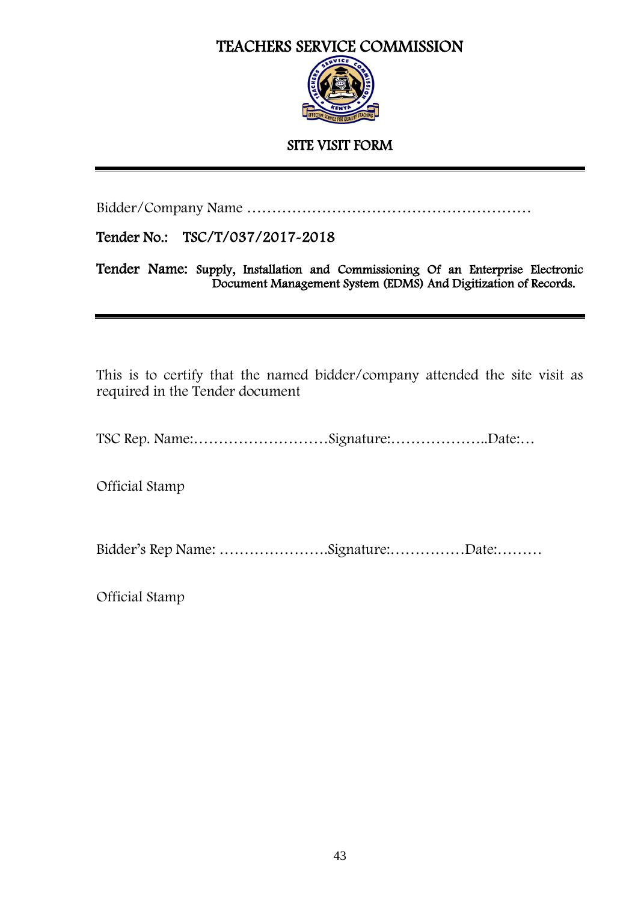# TEACHERS SERVICE COMMISSION



## SITE VISIT FORM

Bidder/Company Name …………………………………………………

Tender No.: TSC/T/037/2017-2018

Tender Name: Supply, Installation and Commissioning Of an Enterprise Electronic Document Management System (EDMS) And Digitization of Records.

This is to certify that the named bidder/company attended the site visit as required in the Tender document

TSC Rep. Name:………………………Signature:………………..Date:…

Official Stamp

Bidder's Rep Name: ………………….Signature:……………Date:………

Official Stamp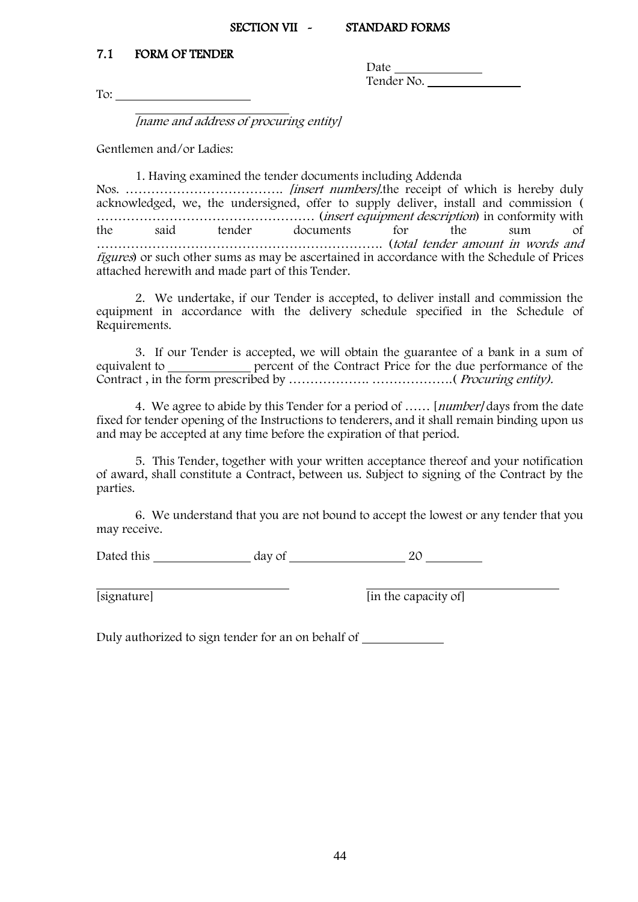#### SECTION VII ~ STANDARD FORMS

### <span id="page-43-0"></span>7.1 FORM OF TENDER

**Date** Tender No.

To:

[name and address of procuring entity]

Gentlemen and/or Ladies:

1. Having examined the tender documents including Addenda Nos. ………………………………. [insert numbers].the receipt of which is hereby duly acknowledged, we, the undersigned, offer to supply deliver, install and commission ( …………………………………………… (insert equipment description) in conformity with the said tender documents for the sum of …………………………………………………………. (total tender amount in words and figures) or such other sums as may be ascertained in accordance with the Schedule of Prices attached herewith and made part of this Tender.

2. We undertake, if our Tender is accepted, to deliver install and commission the equipment in accordance with the delivery schedule specified in the Schedule of Requirements.

3. If our Tender is accepted, we will obtain the guarantee of a bank in a sum of equivalent to <u>percent</u> of the Contract Price for the due performance of the Contract , in the form prescribed by ………………. ……………….( Procuring entity).

4. We agree to abide by this Tender for a period of ...... [*number]* days from the date fixed for tender opening of the Instructions to tenderers, and it shall remain binding upon us and may be accepted at any time before the expiration of that period.

5. This Tender, together with your written acceptance thereof and your notification of award, shall constitute a Contract, between us. Subject to signing of the Contract by the parties.

6. We understand that you are not bound to accept the lowest or any tender that you may receive.

Dated this day of 20

[signature]  $\frac{1}{\sin \theta}$  [in the capacity of]

Duly authorized to sign tender for an on behalf of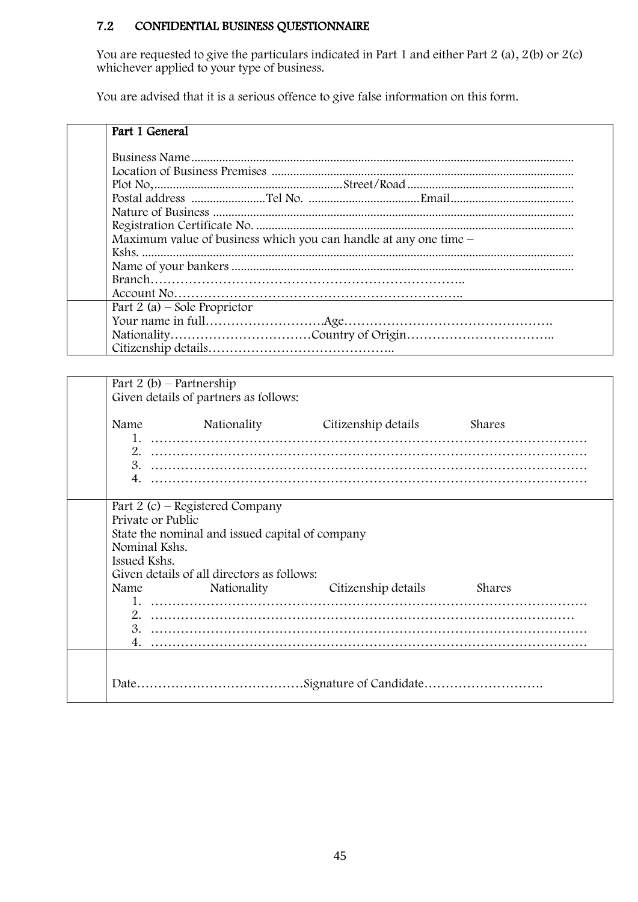# 7.2 CONFIDENTIAL BUSINESS QUESTIONNAIRE

You are requested to give the particulars indicated in Part 1 and either Part 2 (a), 2(b) or 2(c) whichever applied to your type of business.

You are advised that it is a serious offence to give false information on this form.

| Part 1 General                                                   |
|------------------------------------------------------------------|
|                                                                  |
|                                                                  |
|                                                                  |
|                                                                  |
|                                                                  |
|                                                                  |
| Maximum value of business which you can handle at any one time – |
|                                                                  |
|                                                                  |
|                                                                  |
|                                                                  |
| Part 2 (a) – Sole Proprietor                                     |
|                                                                  |
|                                                                  |
|                                                                  |

| Part 2 (b) – Partnership                           | Given details of partners as follows:                                                                                            |                                      |        |
|----------------------------------------------------|----------------------------------------------------------------------------------------------------------------------------------|--------------------------------------|--------|
|                                                    |                                                                                                                                  | Name Nationality Citizenship details | Shares |
| Private or Public<br>Nominal Kshs.<br>Issued Kshs. | Part 2 (c) – Registered Company<br>State the nominal and issued capital of company<br>Given details of all directors as follows: | Name Nationality Citizenship details | Shares |
|                                                    |                                                                                                                                  |                                      |        |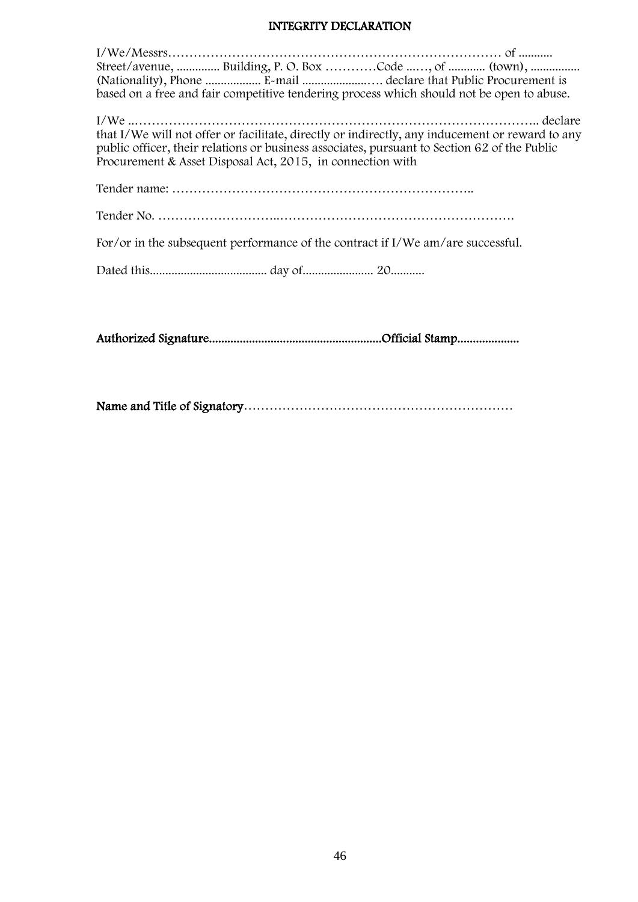#### INTEGRITY DECLARATION

| Street/avenue,  Building, P. O. Box Code , of  (town),                                                                                                                                                                                                        |  |
|---------------------------------------------------------------------------------------------------------------------------------------------------------------------------------------------------------------------------------------------------------------|--|
|                                                                                                                                                                                                                                                               |  |
| based on a free and fair competitive tendering process which should not be open to abuse.                                                                                                                                                                     |  |
| that I/We will not offer or facilitate, directly or indirectly, any inducement or reward to any<br>public officer, their relations or business associates, pursuant to Section 62 of the Public<br>Procurement & Asset Disposal Act, 2015, in connection with |  |
|                                                                                                                                                                                                                                                               |  |
|                                                                                                                                                                                                                                                               |  |
| For/or in the subsequent performance of the contract if I/We am/are successful.                                                                                                                                                                               |  |
|                                                                                                                                                                                                                                                               |  |
|                                                                                                                                                                                                                                                               |  |

Authorized Signature........................................................Official Stamp....................

Name and Title of Signatory………………………………………………………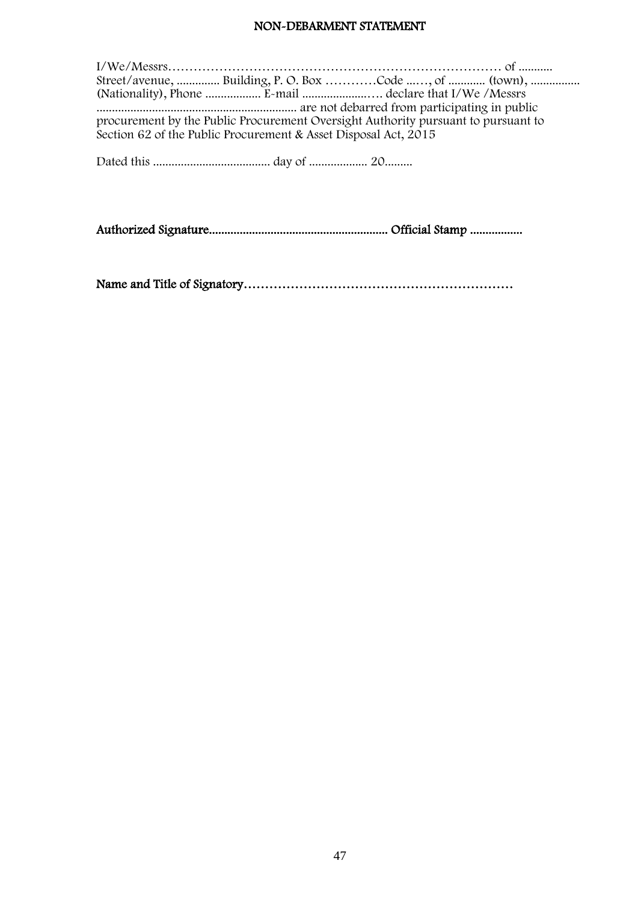#### NON-DEBARMENT STATEMENT

|                                                                                   | Street/avenue,  Building, P. O. Box Code , of  (town), |  |  |  |  |  |
|-----------------------------------------------------------------------------------|--------------------------------------------------------|--|--|--|--|--|
|                                                                                   |                                                        |  |  |  |  |  |
|                                                                                   |                                                        |  |  |  |  |  |
| procurement by the Public Procurement Oversight Authority pursuant to pursuant to |                                                        |  |  |  |  |  |
| Section 62 of the Public Procurement & Asset Disposal Act, 2015                   |                                                        |  |  |  |  |  |
|                                                                                   |                                                        |  |  |  |  |  |
|                                                                                   |                                                        |  |  |  |  |  |

Authorized Signature.......................................................... Official Stamp .................

Name and Title of Signatory………………………………………………………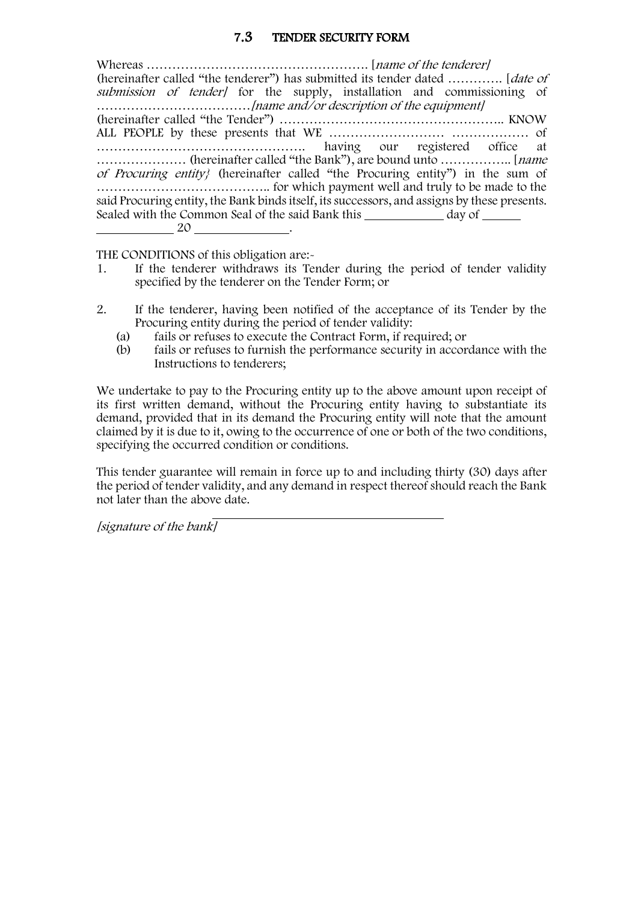## 7.3 TENDER SECURITY FORM

<span id="page-47-0"></span>Whereas ……………………………………………. [name of the tenderer] (hereinafter called "the tenderer") has submitted its tender dated …………. [*date of* submission of tender) for the supply, installation and commissioning of ………………………………[name and/or description of the equipment] (hereinafter called "the Tender") …………………………………………….. KNOW ALL PEOPLE by these presents that WE ……………………… ……………… of …………………………………………. having our registered office at ………………… (hereinafter called "the Bank"), are bound unto …………….. [name of Procuring entity} (hereinafter called "the Procuring entity") in the sum of ………………………………….. for which payment well and truly to be made to the said Procuring entity, the Bank binds itself, its successors, and assigns by these presents. Sealed with the Common Seal of the said Bank this day of 20 .

THE CONDITIONS of this obligation are:-

- 1. If the tenderer withdraws its Tender during the period of tender validity specified by the tenderer on the Tender Form; or
- 2. If the tenderer, having been notified of the acceptance of its Tender by the Procuring entity during the period of tender validity:
	- (a) fails or refuses to execute the Contract Form, if required; or
	- (b) fails or refuses to furnish the performance security in accordance with the Instructions to tenderers;

We undertake to pay to the Procuring entity up to the above amount upon receipt of its first written demand, without the Procuring entity having to substantiate its demand, provided that in its demand the Procuring entity will note that the amount claimed by it is due to it, owing to the occurrence of one or both of the two conditions, specifying the occurred condition or conditions.

This tender guarantee will remain in force up to and including thirty (30) days after the period of tender validity, and any demand in respect thereof should reach the Bank not later than the above date.

[signature of the bank]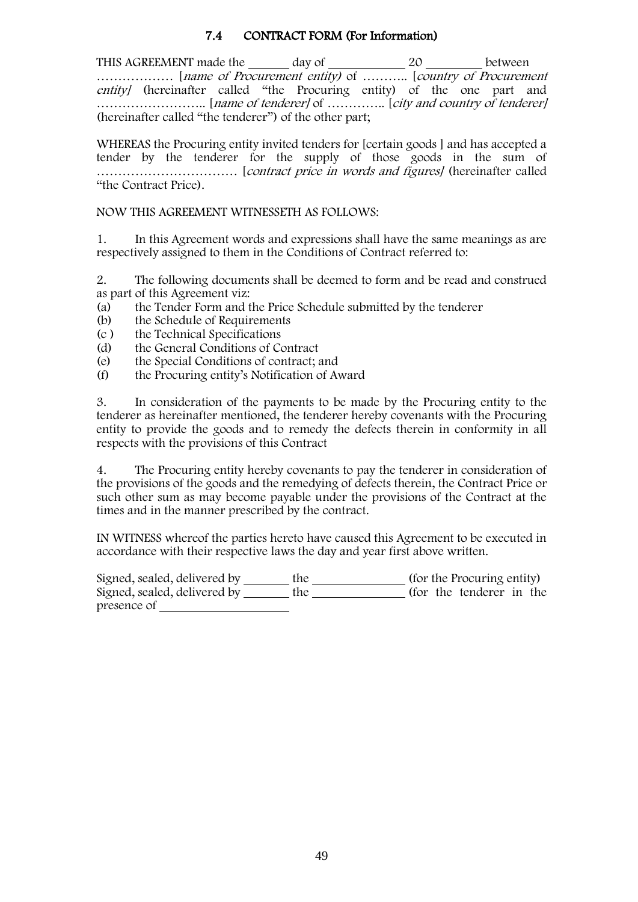## 7.4 CONTRACT FORM (For Information)

<span id="page-48-0"></span>THIS AGREEMENT made the \_\_\_\_\_\_ day of \_\_\_\_\_\_\_\_\_\_\_\_\_\_ 20 \_\_\_\_\_\_\_\_\_ between ……………… [name of Procurement entity) of ……….. [country of Procurement entity] (hereinafter called "the Procuring entity) of the one part and …………………….. [name of tenderer] of ………….. [city and country of tenderer] (hereinafter called "the tenderer") of the other part;

WHEREAS the Procuring entity invited tenders for [certain goods ] and has accepted a tender by the tenderer for the supply of those goods in the sum of …………………………… [contract price in words and figures] (hereinafter called "the Contract Price).

#### NOW THIS AGREEMENT WITNESSETH AS FOLLOWS:

1. In this Agreement words and expressions shall have the same meanings as are respectively assigned to them in the Conditions of Contract referred to:

2. The following documents shall be deemed to form and be read and construed as part of this Agreement viz:

- (a) the Tender Form and the Price Schedule submitted by the tenderer
- (b) the Schedule of Requirements<br>(c) the Technical Specifications
- (c) the Technical Specifications<br>(d) the General Conditions of Co
- (d) the General Conditions of Contract<br>
(e) the Special Conditions of contract; a
- the Special Conditions of contract; and
- (f) the Procuring entity's Notification of Award

3. In consideration of the payments to be made by the Procuring entity to the tenderer as hereinafter mentioned, the tenderer hereby covenants with the Procuring entity to provide the goods and to remedy the defects therein in conformity in all respects with the provisions of this Contract

4. The Procuring entity hereby covenants to pay the tenderer in consideration of the provisions of the goods and the remedying of defects therein, the Contract Price or such other sum as may become payable under the provisions of the Contract at the times and in the manner prescribed by the contract.

IN WITNESS whereof the parties hereto have caused this Agreement to be executed in accordance with their respective laws the day and year first above written.

Signed, sealed, delivered by \_\_\_\_\_\_\_ the \_\_\_\_\_\_\_\_\_\_\_\_\_\_ (for the Procuring entity) Signed, sealed, delivered by \_\_\_\_\_\_\_ the \_\_\_\_\_\_\_\_\_\_\_\_\_\_\_ (for the tenderer in the presence of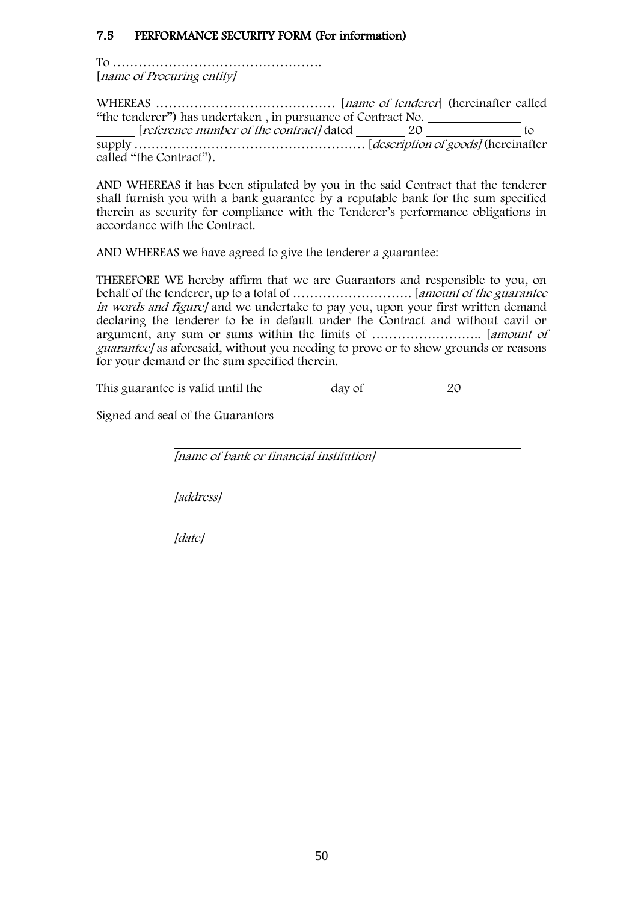## <span id="page-49-0"></span>7.5 PERFORMANCE SECURITY FORM (For information)

To …………………………………………. [name of Procuring entity]

WHEREAS …………………………………… [name of tenderer] (hereinafter called "the tenderer") has undertaken , in pursuance of Contract No.

[*reference number of the contract]* dated 20 10 to

supply ……………………………………………… [description of goods] (hereinafter called "the Contract").

AND WHEREAS it has been stipulated by you in the said Contract that the tenderer shall furnish you with a bank guarantee by a reputable bank for the sum specified therein as security for compliance with the Tenderer's performance obligations in accordance with the Contract.

AND WHEREAS we have agreed to give the tenderer a guarantee:

THEREFORE WE hereby affirm that we are Guarantors and responsible to you, on behalf of the tenderer, up to a total of ………………………. [amount of the guarantee in words and figure] and we undertake to pay you, upon your first written demand declaring the tenderer to be in default under the Contract and without cavil or argument, any sum or sums within the limits of …………………….. [amount of guarantee] as aforesaid, without you needing to prove or to show grounds or reasons for your demand or the sum specified therein.

This guarantee is valid until the day of 20  $\mu$ 

Signed and seal of the Guarantors

[name of bank or financial institution]

[address]

[date]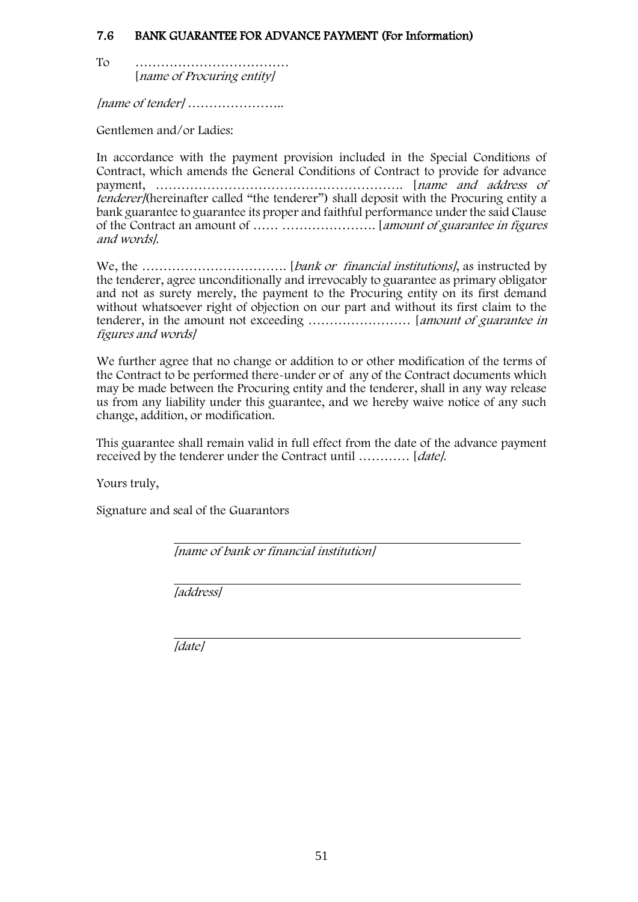### <span id="page-50-0"></span>7.6 BANK GUARANTEE FOR ADVANCE PAYMENT (For Information)

To ……………………………… [name of Procuring entity]

[name of tender] …………………..

Gentlemen and/or Ladies:

In accordance with the payment provision included in the Special Conditions of Contract, which amends the General Conditions of Contract to provide for advance payment, …………………………………………………. [name and address of *tenderer*/(hereinafter called "the tenderer") shall deposit with the Procuring entity a bank guarantee to guarantee its proper and faithful performance under the said Clause of the Contract an amount of …… …………………. [amount of guarantee in figures and words].

We, the ……………………………. [bank or financial institutions], as instructed by the tenderer, agree unconditionally and irrevocably to guarantee as primary obligator and not as surety merely, the payment to the Procuring entity on its first demand without whatsoever right of objection on our part and without its first claim to the tenderer, in the amount not exceeding …………………… [amount of guarantee in figures and words]

We further agree that no change or addition to or other modification of the terms of the Contract to be performed there-under or of any of the Contract documents which may be made between the Procuring entity and the tenderer, shall in any way release us from any liability under this guarantee, and we hereby waive notice of any such change, addition, or modification.

This guarantee shall remain valid in full effect from the date of the advance payment received by the tenderer under the Contract until ………… [date].

Yours truly,

Signature and seal of the Guarantors

[name of bank or financial institution]

[address]

[date]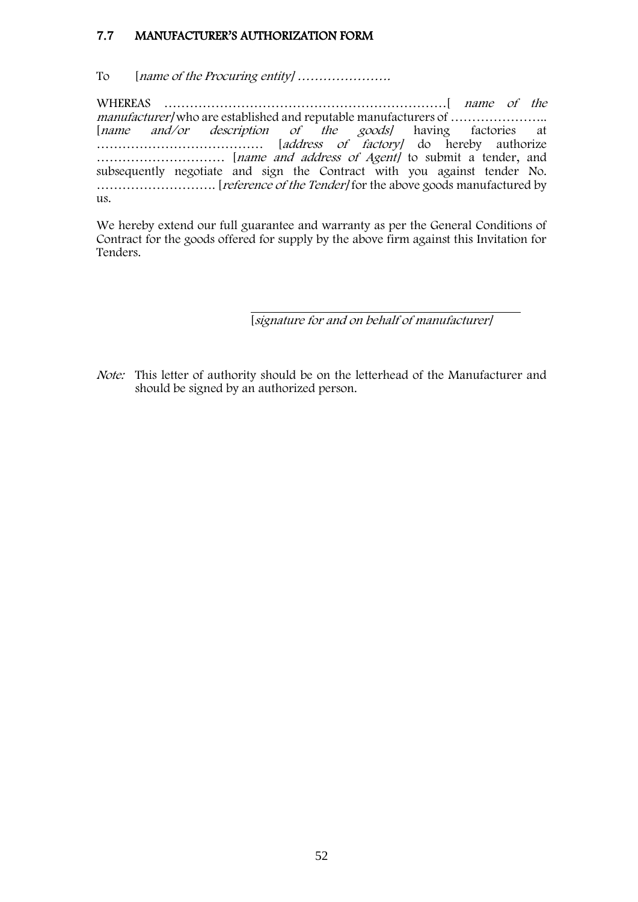### <span id="page-51-0"></span>7.7 MANUFACTURER'S AUTHORIZATION FORM

#### To [name of the Procuring entity] ………………….

WHEREAS …………………………………………………………[ name of the manufacturer] who are established and reputable manufacturers of ………………….. [name and/or description of the goods] having factories at ………………………………… [address of factory] do hereby authorize ………………………… [name and address of Agent] to submit a tender, and subsequently negotiate and sign the Contract with you against tender No. ………………………. [reference of the Tender] for the above goods manufactured by us.

We hereby extend our full guarantee and warranty as per the General Conditions of Contract for the goods offered for supply by the above firm against this Invitation for Tenders.

[signature for and on behalf of manufacturer]

Note: This letter of authority should be on the letterhead of the Manufacturer and should be signed by an authorized person.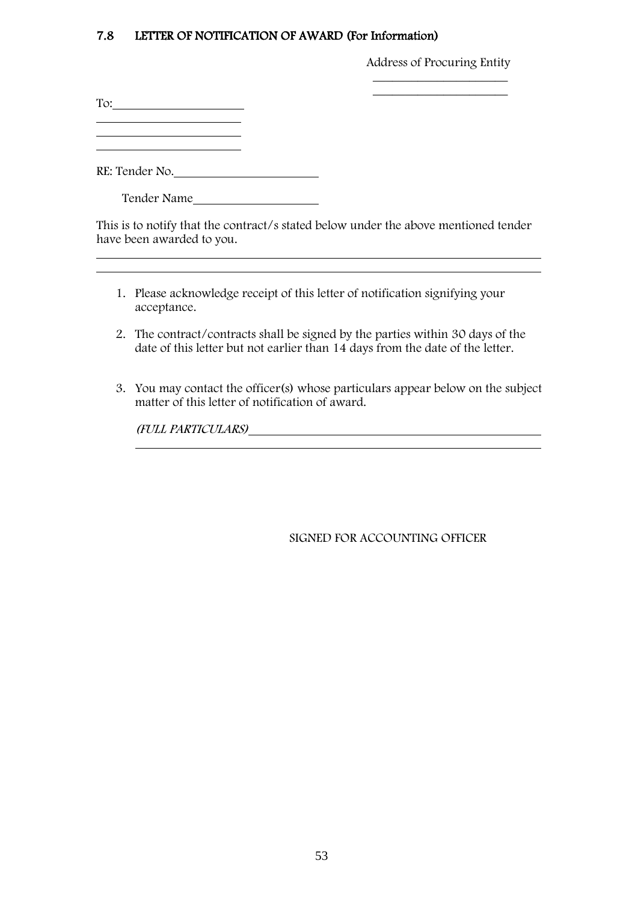#### <span id="page-52-0"></span>7.8 LETTER OF NOTIFICATION OF AWARD (For Information)

Address of Procuring Entity \_\_\_\_\_\_\_\_\_\_\_\_\_\_\_\_\_\_\_\_\_

 $\overline{\phantom{a}}$  , where  $\overline{\phantom{a}}$  , where  $\overline{\phantom{a}}$  , where  $\overline{\phantom{a}}$ 

To: 

RE: Tender No.

Tender Name

This is to notify that the contract/s stated below under the above mentioned tender have been awarded to you.

- 1. Please acknowledge receipt of this letter of notification signifying your acceptance.
- 2. The contract/contracts shall be signed by the parties within 30 days of the date of this letter but not earlier than 14 days from the date of the letter.
- 3. You may contact the officer(s) whose particulars appear below on the subject matter of this letter of notification of award.

(FULL PARTICULARS)

SIGNED FOR ACCOUNTING OFFICER